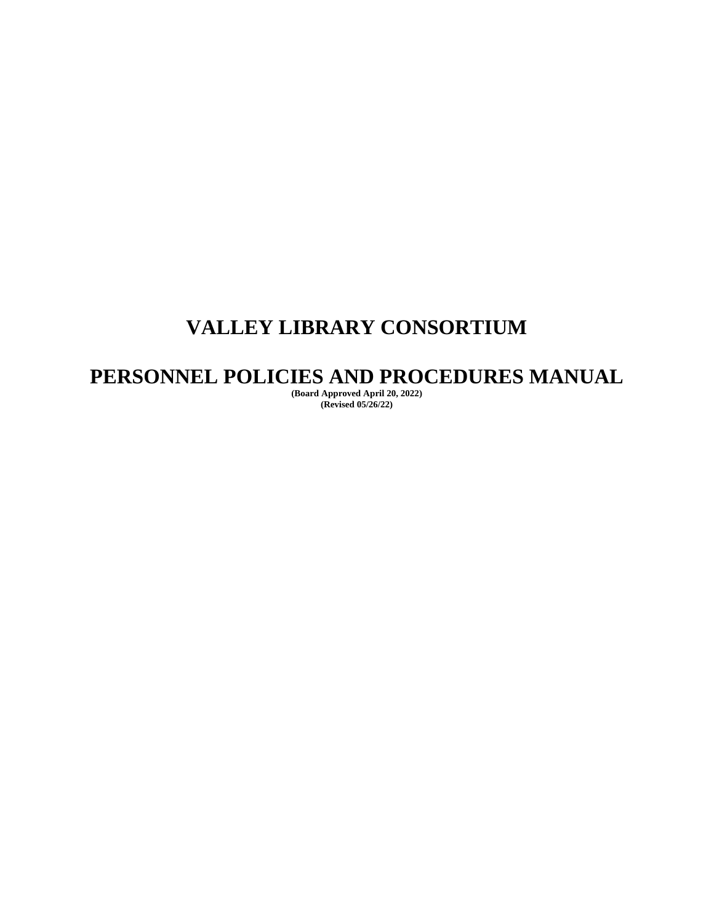# **VALLEY LIBRARY CONSORTIUM**

# **PERSONNEL POLICIES AND PROCEDURES MANUAL**

**(Board Approved April 20, 2022) (Revised 05/26/22)**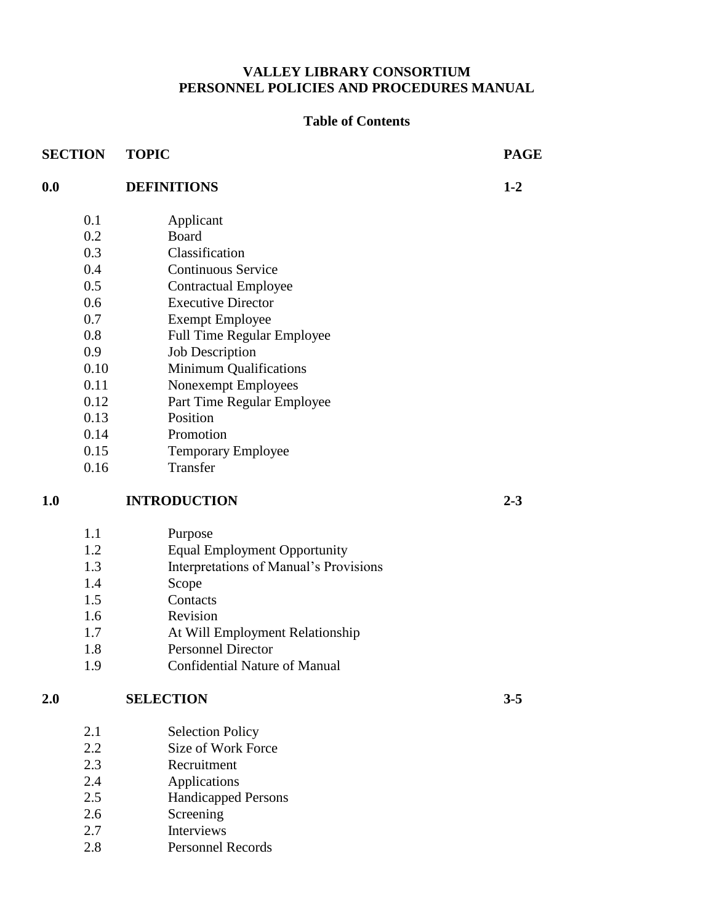# **VALLEY LIBRARY CONSORTIUM PERSONNEL POLICIES AND PROCEDURES MANUAL**

# **Table of Contents**

| <b>SECTION</b> |      | <b>TOPIC</b>                           | <b>PAGE</b> |
|----------------|------|----------------------------------------|-------------|
| 0.0            |      | <b>DEFINITIONS</b>                     | $1 - 2$     |
|                | 0.1  | Applicant                              |             |
|                | 0.2  | <b>Board</b>                           |             |
|                | 0.3  | Classification                         |             |
|                | 0.4  | <b>Continuous Service</b>              |             |
|                | 0.5  | <b>Contractual Employee</b>            |             |
|                | 0.6  | <b>Executive Director</b>              |             |
|                | 0.7  | <b>Exempt Employee</b>                 |             |
|                | 0.8  | <b>Full Time Regular Employee</b>      |             |
|                | 0.9  | <b>Job Description</b>                 |             |
|                | 0.10 | <b>Minimum Qualifications</b>          |             |
|                | 0.11 | Nonexempt Employees                    |             |
|                | 0.12 | Part Time Regular Employee             |             |
|                | 0.13 | Position                               |             |
|                | 0.14 | Promotion                              |             |
|                | 0.15 | Temporary Employee                     |             |
|                | 0.16 | Transfer                               |             |
| 1.0            |      | <b>INTRODUCTION</b>                    | $2 - 3$     |
|                | 1.1  | Purpose                                |             |
|                | 1.2  | <b>Equal Employment Opportunity</b>    |             |
|                | 1.3  | Interpretations of Manual's Provisions |             |
|                | 1.4  | Scope                                  |             |
|                | 1.5  | Contacts                               |             |
|                | 1.6  | Revision                               |             |
|                | 1.7  | At Will Employment Relationship        |             |
|                | 1.8  | <b>Personnel Director</b>              |             |
|                | 1.9  | <b>Confidential Nature of Manual</b>   |             |
| 2.0            |      | <b>SELECTION</b>                       | $3 - 5$     |
|                | 2.1  | <b>Selection Policy</b>                |             |
|                | 2.2  | Size of Work Force                     |             |
|                | 2.3  | Recruitment                            |             |
|                | 2.4  | Applications                           |             |
|                | 2.5  | <b>Handicapped Persons</b>             |             |
|                | 2.6  | Screening                              |             |
|                | 2.7  | Interviews                             |             |
|                | 2.8  | <b>Personnel Records</b>               |             |
|                |      |                                        |             |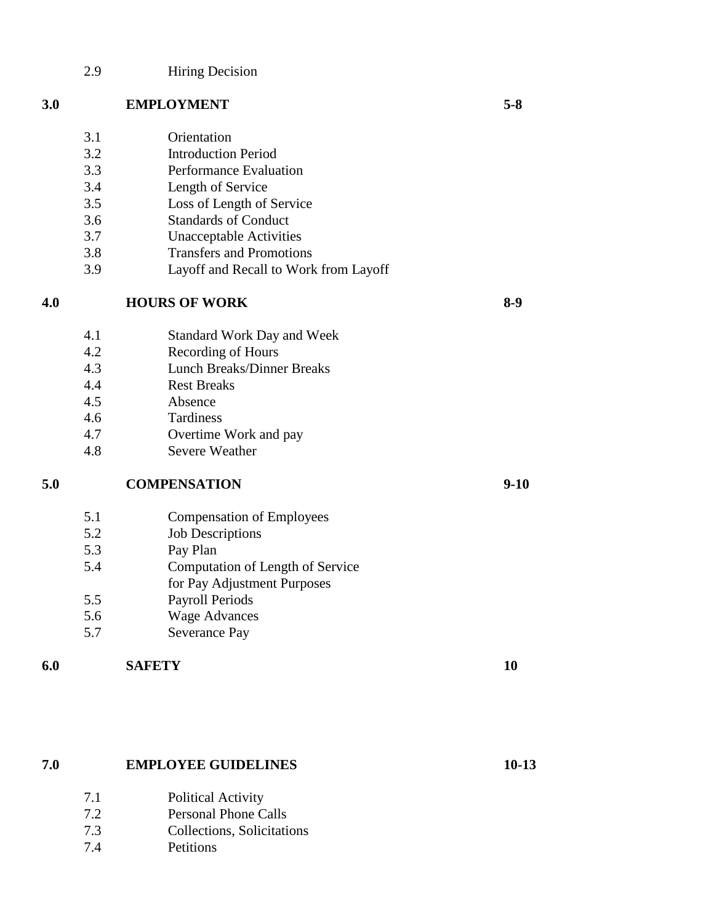# 2.9 Hiring Decision

# **3.0 EMPLOYMENT 5-8**

- 3.1 Orientation
- 3.2 Introduction Period
- 3.3 Performance Evaluation 3.4 Length of Service
- 3.5 Loss of Length of Service
- 3.6 Standards of Conduct
- 3.7 Unacceptable Activities
- 3.8 Transfers and Promotions
- 3.9 Layoff and Recall to Work from Layoff

# **4.0 HOURS OF WORK 8-9**

- 4.1 Standard Work Day and Week
- 4.2 Recording of Hours
- 4.3 Lunch Breaks/Dinner Breaks
- 4.4 Rest Breaks
- 4.5 Absence
- 4.6 Tardiness
- 4.7 Overtime Work and pay
- 4.8 Severe Weather

# **5.0 COMPENSATION 9-10**

- 5.1 Compensation of Employees
- 5.2 Job Descriptions
- 5.3 Pay Plan
- 5.4 Computation of Length of Service
- for Pay Adjustment Purposes
- 5.5 Payroll Periods
- 5.6 Wage Advances
- 5.7 Severance Pay

# **6.0 SAFETY 10**

# **7.0 EMPLOYEE GUIDELINES 10-13**

- 7.1 Political Activity
- 7.2 Personal Phone Calls
- 7.3 Collections, Solicitations
- 7.4 Petitions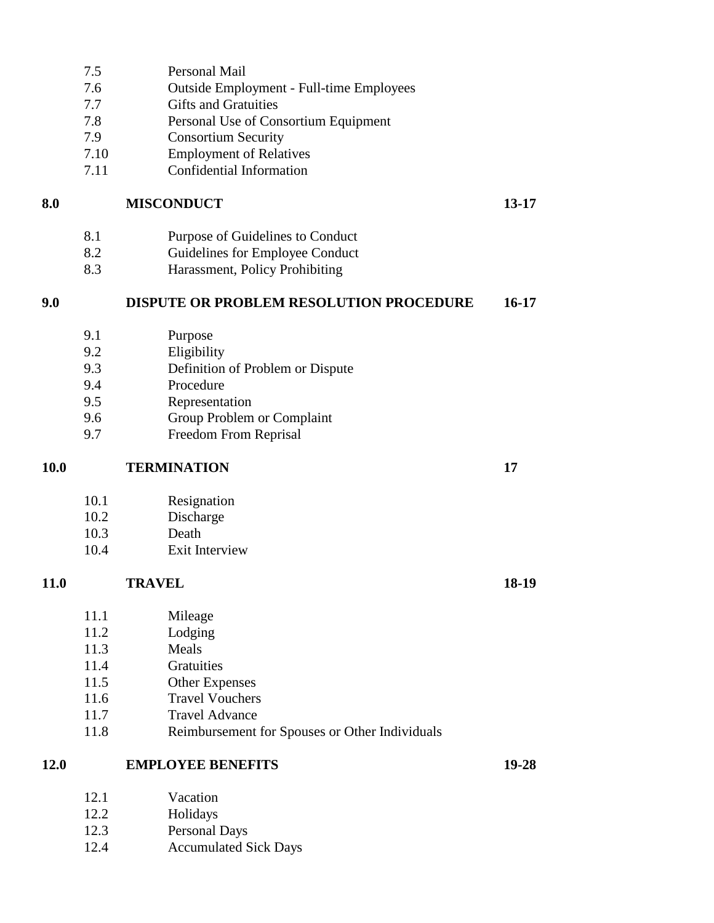- 7.5 Personal Mail
- 7.6 Outside Employment Full-time Employees
- 7.7 Gifts and Gratuities
- 7.8 Personal Use of Consortium Equipment
- 7.9 Consortium Security
- 7.10 Employment of Relatives
- 7.11 Confidential Information

# **8.0 MISCONDUCT 13-17**

- 8.1 Purpose of Guidelines to Conduct
- 8.2 Guidelines for Employee Conduct
- 8.3 Harassment, Policy Prohibiting

# **9.0 DISPUTE OR PROBLEM RESOLUTION PROCEDURE 16-17**

- 9.1 Purpose
- 9.2 Eligibility
- 9.3 Definition of Problem or Dispute
- 9.4 Procedure
- 9.5 Representation
- 9.6 Group Problem or Complaint
- 9.7 Freedom From Reprisal

10.1 Resignation

- 10.2 Discharge
- 10.3 Death
- 10.4 Exit Interview

# **11.0 TRAVEL 18-19**

- 11.1 Mileage
- 11.2 Lodging
- 11.3 Meals
- 11.4 Gratuities
- 11.5 Other Expenses
- 11.6 Travel Vouchers
- 11.7 Travel Advance
- 11.8 Reimbursement for Spouses or Other Individuals

# **12.0 EMPLOYEE BENEFITS 19-28**

- 12.1 Vacation
- 12.2 Holidays
- 12.3 Personal Days
- 12.4 Accumulated Sick Days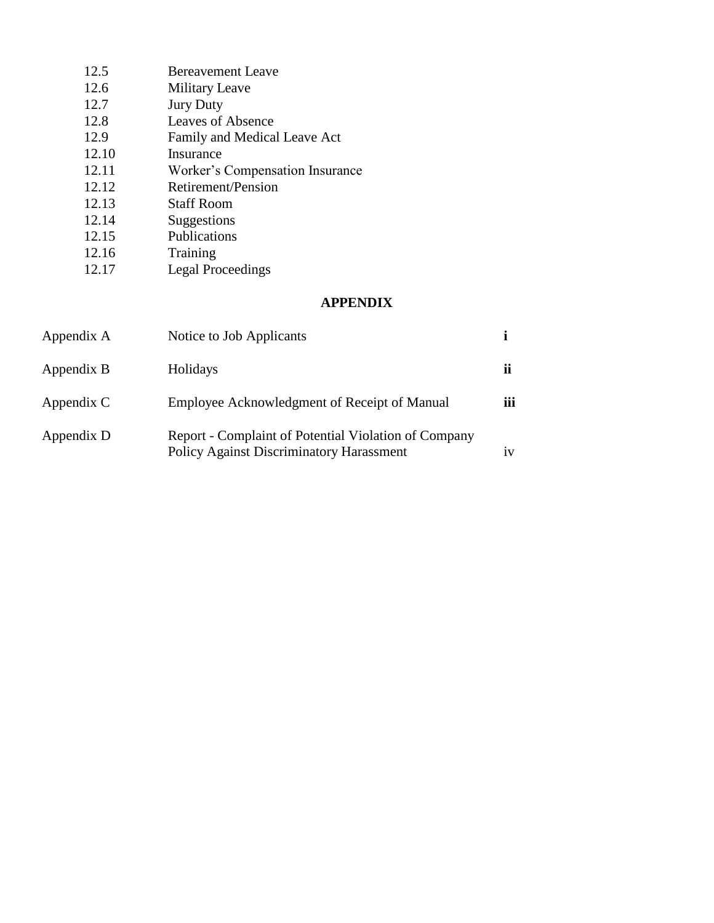| <b>Bereavement Leave</b>        |
|---------------------------------|
| <b>Military Leave</b>           |
| <b>Jury Duty</b>                |
| Leaves of Absence               |
| Family and Medical Leave Act    |
| Insurance                       |
| Worker's Compensation Insurance |
| Retirement/Pension              |
| Staff Room                      |
| Suggestions                     |
| Publications                    |
| Training                        |
| <b>Legal Proceedings</b>        |
|                                 |

# **APPENDIX**

| Appendix A | Notice to Job Applicants                                                                                |               |
|------------|---------------------------------------------------------------------------------------------------------|---------------|
| Appendix B | Holidays                                                                                                | ii            |
| Appendix C | Employee Acknowledgment of Receipt of Manual                                                            | $\cdots$<br>Ш |
| Appendix D | Report - Complaint of Potential Violation of Company<br><b>Policy Against Discriminatory Harassment</b> | 1V            |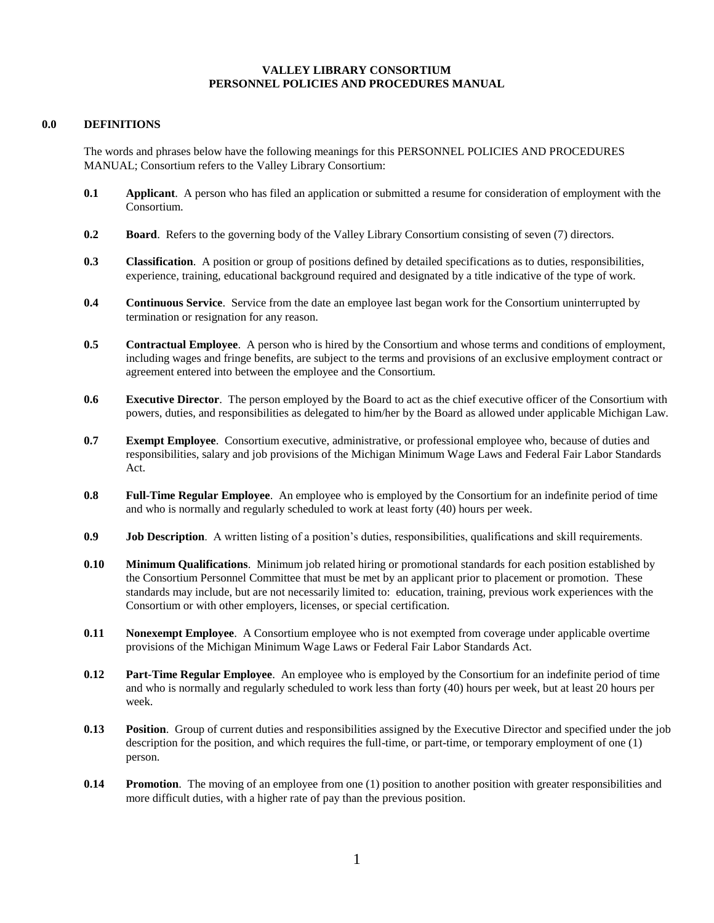## **VALLEY LIBRARY CONSORTIUM PERSONNEL POLICIES AND PROCEDURES MANUAL**

### **0.0 DEFINITIONS**

The words and phrases below have the following meanings for this PERSONNEL POLICIES AND PROCEDURES MANUAL; Consortium refers to the Valley Library Consortium:

- **0.1 Applicant**. A person who has filed an application or submitted a resume for consideration of employment with the Consortium.
- **0.2 Board**. Refers to the governing body of the Valley Library Consortium consisting of seven (7) directors.
- **0.3 Classification**. A position or group of positions defined by detailed specifications as to duties, responsibilities, experience, training, educational background required and designated by a title indicative of the type of work.
- **0.4 Continuous Service**. Service from the date an employee last began work for the Consortium uninterrupted by termination or resignation for any reason.
- **0.5 Contractual Employee**. A person who is hired by the Consortium and whose terms and conditions of employment, including wages and fringe benefits, are subject to the terms and provisions of an exclusive employment contract or agreement entered into between the employee and the Consortium.
- **0.6 Executive Director**. The person employed by the Board to act as the chief executive officer of the Consortium with powers, duties, and responsibilities as delegated to him/her by the Board as allowed under applicable Michigan Law.
- **0.7 Exempt Employee**. Consortium executive, administrative, or professional employee who, because of duties and responsibilities, salary and job provisions of the Michigan Minimum Wage Laws and Federal Fair Labor Standards Act.
- **0.8 Full-Time Regular Employee**. An employee who is employed by the Consortium for an indefinite period of time and who is normally and regularly scheduled to work at least forty (40) hours per week.
- **0.9 Job Description**. A written listing of a position's duties, responsibilities, qualifications and skill requirements.
- **0.10 Minimum Qualifications**. Minimum job related hiring or promotional standards for each position established by the Consortium Personnel Committee that must be met by an applicant prior to placement or promotion. These standards may include, but are not necessarily limited to: education, training, previous work experiences with the Consortium or with other employers, licenses, or special certification.
- **0.11 Nonexempt Employee**. A Consortium employee who is not exempted from coverage under applicable overtime provisions of the Michigan Minimum Wage Laws or Federal Fair Labor Standards Act.
- **0.12 Part-Time Regular Employee**. An employee who is employed by the Consortium for an indefinite period of time and who is normally and regularly scheduled to work less than forty (40) hours per week, but at least 20 hours per week.
- **0.13 Position**. Group of current duties and responsibilities assigned by the Executive Director and specified under the job description for the position, and which requires the full-time, or part-time, or temporary employment of one (1) person.
- **0.14 Promotion**. The moving of an employee from one (1) position to another position with greater responsibilities and more difficult duties, with a higher rate of pay than the previous position.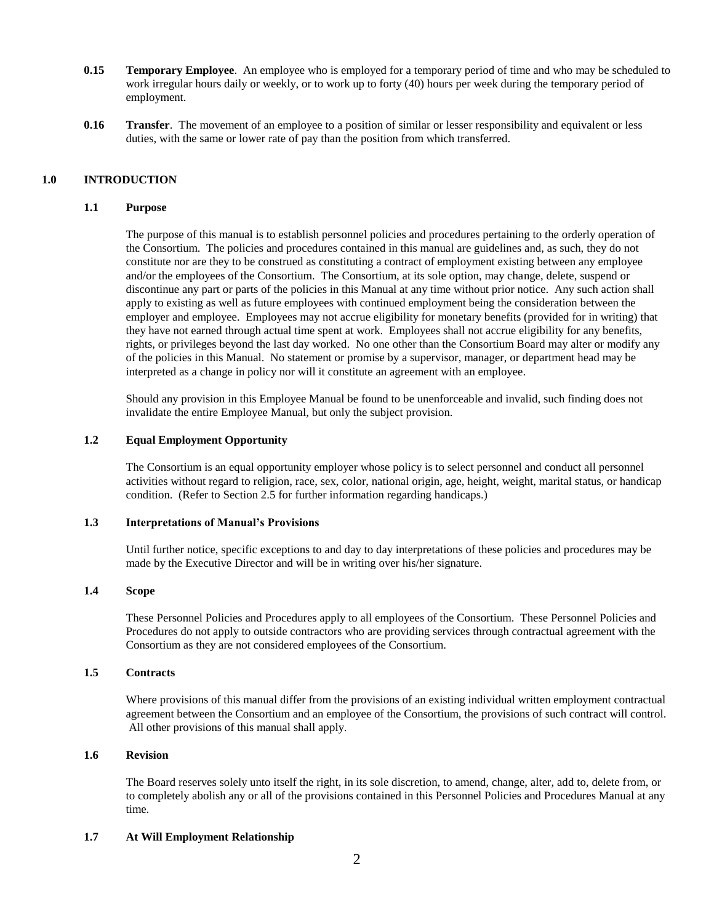- **0.15 Temporary Employee**. An employee who is employed for a temporary period of time and who may be scheduled to work irregular hours daily or weekly, or to work up to forty (40) hours per week during the temporary period of employment.
- **0.16 Transfer**. The movement of an employee to a position of similar or lesser responsibility and equivalent or less duties, with the same or lower rate of pay than the position from which transferred.

# **1.0 INTRODUCTION**

### **1.1 Purpose**

The purpose of this manual is to establish personnel policies and procedures pertaining to the orderly operation of the Consortium. The policies and procedures contained in this manual are guidelines and, as such, they do not constitute nor are they to be construed as constituting a contract of employment existing between any employee and/or the employees of the Consortium. The Consortium, at its sole option, may change, delete, suspend or discontinue any part or parts of the policies in this Manual at any time without prior notice. Any such action shall apply to existing as well as future employees with continued employment being the consideration between the employer and employee. Employees may not accrue eligibility for monetary benefits (provided for in writing) that they have not earned through actual time spent at work. Employees shall not accrue eligibility for any benefits, rights, or privileges beyond the last day worked. No one other than the Consortium Board may alter or modify any of the policies in this Manual. No statement or promise by a supervisor, manager, or department head may be interpreted as a change in policy nor will it constitute an agreement with an employee.

Should any provision in this Employee Manual be found to be unenforceable and invalid, such finding does not invalidate the entire Employee Manual, but only the subject provision.

#### **1.2 Equal Employment Opportunity**

The Consortium is an equal opportunity employer whose policy is to select personnel and conduct all personnel activities without regard to religion, race, sex, color, national origin, age, height, weight, marital status, or handicap condition. (Refer to Section 2.5 for further information regarding handicaps.)

#### **1.3 Interpretations of Manual's Provisions**

Until further notice, specific exceptions to and day to day interpretations of these policies and procedures may be made by the Executive Director and will be in writing over his/her signature.

# **1.4 Scope**

These Personnel Policies and Procedures apply to all employees of the Consortium. These Personnel Policies and Procedures do not apply to outside contractors who are providing services through contractual agreement with the Consortium as they are not considered employees of the Consortium.

# **1.5 Contracts**

Where provisions of this manual differ from the provisions of an existing individual written employment contractual agreement between the Consortium and an employee of the Consortium, the provisions of such contract will control. All other provisions of this manual shall apply.

#### **1.6 Revision**

The Board reserves solely unto itself the right, in its sole discretion, to amend, change, alter, add to, delete from, or to completely abolish any or all of the provisions contained in this Personnel Policies and Procedures Manual at any time.

#### **1.7 At Will Employment Relationship**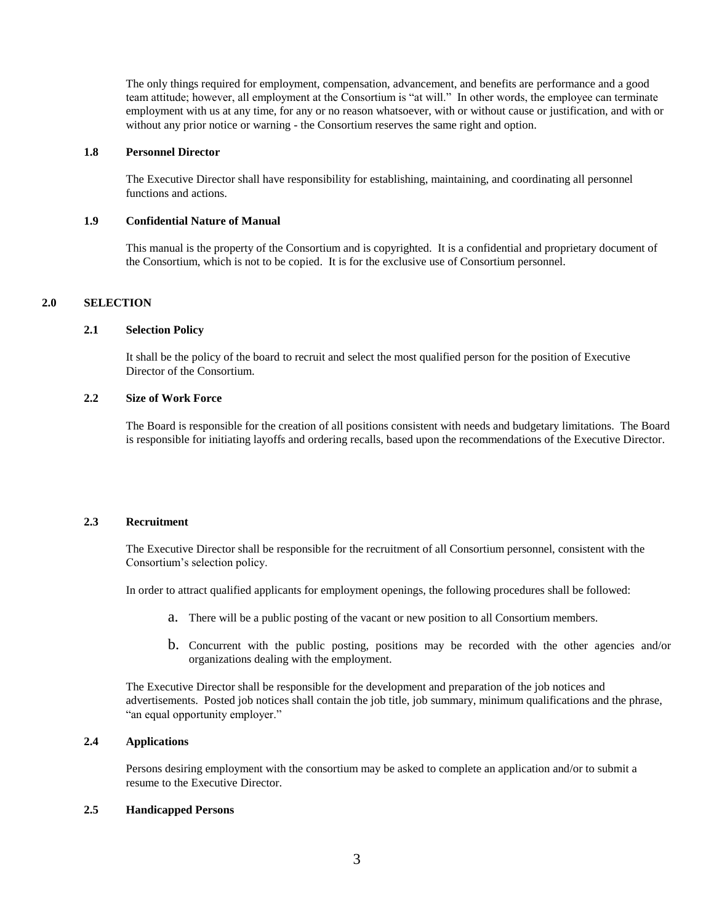The only things required for employment, compensation, advancement, and benefits are performance and a good team attitude; however, all employment at the Consortium is "at will." In other words, the employee can terminate employment with us at any time, for any or no reason whatsoever, with or without cause or justification, and with or without any prior notice or warning - the Consortium reserves the same right and option.

#### **1.8 Personnel Director**

The Executive Director shall have responsibility for establishing, maintaining, and coordinating all personnel functions and actions.

#### **1.9 Confidential Nature of Manual**

This manual is the property of the Consortium and is copyrighted. It is a confidential and proprietary document of the Consortium, which is not to be copied. It is for the exclusive use of Consortium personnel.

### **2.0 SELECTION**

#### **2.1 Selection Policy**

It shall be the policy of the board to recruit and select the most qualified person for the position of Executive Director of the Consortium.

# **2.2 Size of Work Force**

The Board is responsible for the creation of all positions consistent with needs and budgetary limitations. The Board is responsible for initiating layoffs and ordering recalls, based upon the recommendations of the Executive Director.

#### **2.3 Recruitment**

The Executive Director shall be responsible for the recruitment of all Consortium personnel, consistent with the Consortium's selection policy.

In order to attract qualified applicants for employment openings, the following procedures shall be followed:

- a. There will be a public posting of the vacant or new position to all Consortium members.
- b. Concurrent with the public posting, positions may be recorded with the other agencies and/or organizations dealing with the employment.

The Executive Director shall be responsible for the development and preparation of the job notices and advertisements. Posted job notices shall contain the job title, job summary, minimum qualifications and the phrase, "an equal opportunity employer."

#### **2.4 Applications**

Persons desiring employment with the consortium may be asked to complete an application and/or to submit a resume to the Executive Director.

# **2.5 Handicapped Persons**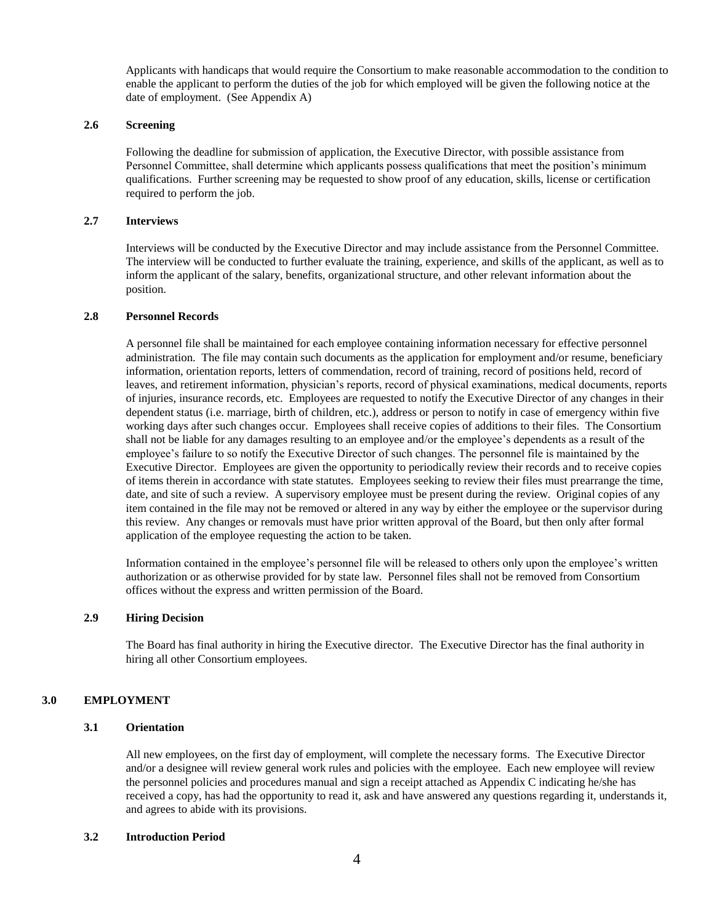Applicants with handicaps that would require the Consortium to make reasonable accommodation to the condition to enable the applicant to perform the duties of the job for which employed will be given the following notice at the date of employment. (See Appendix A)

# **2.6 Screening**

Following the deadline for submission of application, the Executive Director, with possible assistance from Personnel Committee, shall determine which applicants possess qualifications that meet the position's minimum qualifications. Further screening may be requested to show proof of any education, skills, license or certification required to perform the job.

#### **2.7 Interviews**

Interviews will be conducted by the Executive Director and may include assistance from the Personnel Committee. The interview will be conducted to further evaluate the training, experience, and skills of the applicant, as well as to inform the applicant of the salary, benefits, organizational structure, and other relevant information about the position.

#### **2.8 Personnel Records**

A personnel file shall be maintained for each employee containing information necessary for effective personnel administration. The file may contain such documents as the application for employment and/or resume, beneficiary information, orientation reports, letters of commendation, record of training, record of positions held, record of leaves, and retirement information, physician's reports, record of physical examinations, medical documents, reports of injuries, insurance records, etc. Employees are requested to notify the Executive Director of any changes in their dependent status (i.e. marriage, birth of children, etc.), address or person to notify in case of emergency within five working days after such changes occur. Employees shall receive copies of additions to their files. The Consortium shall not be liable for any damages resulting to an employee and/or the employee's dependents as a result of the employee's failure to so notify the Executive Director of such changes. The personnel file is maintained by the Executive Director. Employees are given the opportunity to periodically review their records and to receive copies of items therein in accordance with state statutes. Employees seeking to review their files must prearrange the time, date, and site of such a review. A supervisory employee must be present during the review. Original copies of any item contained in the file may not be removed or altered in any way by either the employee or the supervisor during this review. Any changes or removals must have prior written approval of the Board, but then only after formal application of the employee requesting the action to be taken.

Information contained in the employee's personnel file will be released to others only upon the employee's written authorization or as otherwise provided for by state law. Personnel files shall not be removed from Consortium offices without the express and written permission of the Board.

#### **2.9 Hiring Decision**

The Board has final authority in hiring the Executive director. The Executive Director has the final authority in hiring all other Consortium employees.

#### **3.0 EMPLOYMENT**

# **3.1 Orientation**

All new employees, on the first day of employment, will complete the necessary forms. The Executive Director and/or a designee will review general work rules and policies with the employee. Each new employee will review the personnel policies and procedures manual and sign a receipt attached as Appendix C indicating he/she has received a copy, has had the opportunity to read it, ask and have answered any questions regarding it, understands it, and agrees to abide with its provisions.

#### **3.2 Introduction Period**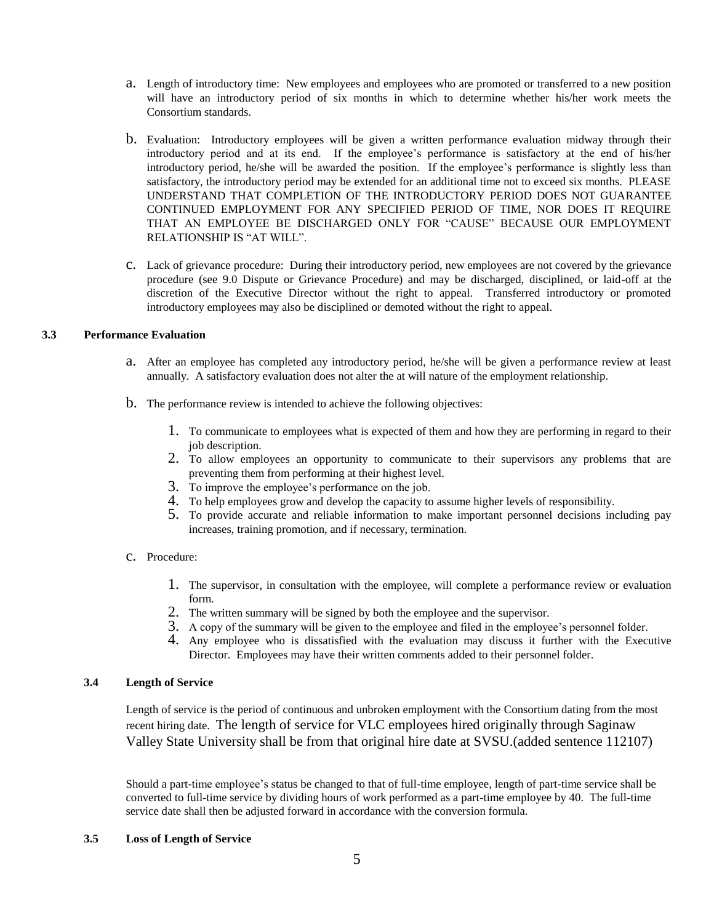- a. Length of introductory time: New employees and employees who are promoted or transferred to a new position will have an introductory period of six months in which to determine whether his/her work meets the Consortium standards.
- b. Evaluation: Introductory employees will be given a written performance evaluation midway through their introductory period and at its end. If the employee's performance is satisfactory at the end of his/her introductory period, he/she will be awarded the position. If the employee's performance is slightly less than satisfactory, the introductory period may be extended for an additional time not to exceed six months. PLEASE UNDERSTAND THAT COMPLETION OF THE INTRODUCTORY PERIOD DOES NOT GUARANTEE CONTINUED EMPLOYMENT FOR ANY SPECIFIED PERIOD OF TIME, NOR DOES IT REQUIRE THAT AN EMPLOYEE BE DISCHARGED ONLY FOR "CAUSE" BECAUSE OUR EMPLOYMENT RELATIONSHIP IS "AT WILL".
- c. Lack of grievance procedure: During their introductory period, new employees are not covered by the grievance procedure (see 9.0 Dispute or Grievance Procedure) and may be discharged, disciplined, or laid-off at the discretion of the Executive Director without the right to appeal. Transferred introductory or promoted introductory employees may also be disciplined or demoted without the right to appeal.

# **3.3 Performance Evaluation**

- a. After an employee has completed any introductory period, he/she will be given a performance review at least annually. A satisfactory evaluation does not alter the at will nature of the employment relationship.
- b. The performance review is intended to achieve the following objectives:
	- 1. To communicate to employees what is expected of them and how they are performing in regard to their job description.
	- 2. To allow employees an opportunity to communicate to their supervisors any problems that are preventing them from performing at their highest level.
	- 3. To improve the employee's performance on the job.
	- 4. To help employees grow and develop the capacity to assume higher levels of responsibility.
	- 5. To provide accurate and reliable information to make important personnel decisions including pay increases, training promotion, and if necessary, termination.

#### c. Procedure:

- 1. The supervisor, in consultation with the employee, will complete a performance review or evaluation form.
- 2. The written summary will be signed by both the employee and the supervisor.
- 3. A copy of the summary will be given to the employee and filed in the employee's personnel folder.
- 4. Any employee who is dissatisfied with the evaluation may discuss it further with the Executive Director. Employees may have their written comments added to their personnel folder.

### **3.4 Length of Service**

Length of service is the period of continuous and unbroken employment with the Consortium dating from the most recent hiring date. The length of service for VLC employees hired originally through Saginaw Valley State University shall be from that original hire date at SVSU.(added sentence 112107)

Should a part-time employee's status be changed to that of full-time employee, length of part-time service shall be converted to full-time service by dividing hours of work performed as a part-time employee by 40. The full-time service date shall then be adjusted forward in accordance with the conversion formula.

#### **3.5 Loss of Length of Service**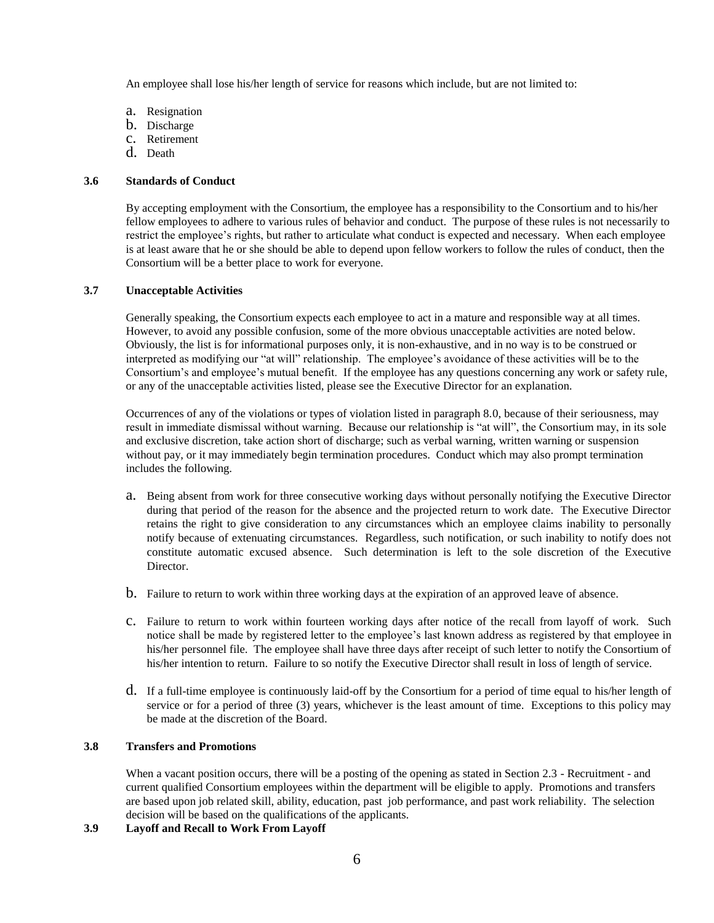An employee shall lose his/her length of service for reasons which include, but are not limited to:

- a. Resignation
- b. Discharge
- c. Retirement
- d. Death

# **3.6 Standards of Conduct**

By accepting employment with the Consortium, the employee has a responsibility to the Consortium and to his/her fellow employees to adhere to various rules of behavior and conduct. The purpose of these rules is not necessarily to restrict the employee's rights, but rather to articulate what conduct is expected and necessary. When each employee is at least aware that he or she should be able to depend upon fellow workers to follow the rules of conduct, then the Consortium will be a better place to work for everyone.

### **3.7 Unacceptable Activities**

Generally speaking, the Consortium expects each employee to act in a mature and responsible way at all times. However, to avoid any possible confusion, some of the more obvious unacceptable activities are noted below. Obviously, the list is for informational purposes only, it is non-exhaustive, and in no way is to be construed or interpreted as modifying our "at will" relationship. The employee's avoidance of these activities will be to the Consortium's and employee's mutual benefit. If the employee has any questions concerning any work or safety rule, or any of the unacceptable activities listed, please see the Executive Director for an explanation.

Occurrences of any of the violations or types of violation listed in paragraph 8.0, because of their seriousness, may result in immediate dismissal without warning. Because our relationship is "at will", the Consortium may, in its sole and exclusive discretion, take action short of discharge; such as verbal warning, written warning or suspension without pay, or it may immediately begin termination procedures. Conduct which may also prompt termination includes the following.

- a. Being absent from work for three consecutive working days without personally notifying the Executive Director during that period of the reason for the absence and the projected return to work date. The Executive Director retains the right to give consideration to any circumstances which an employee claims inability to personally notify because of extenuating circumstances. Regardless, such notification, or such inability to notify does not constitute automatic excused absence. Such determination is left to the sole discretion of the Executive Director.
- b. Failure to return to work within three working days at the expiration of an approved leave of absence.
- c. Failure to return to work within fourteen working days after notice of the recall from layoff of work. Such notice shall be made by registered letter to the employee's last known address as registered by that employee in his/her personnel file. The employee shall have three days after receipt of such letter to notify the Consortium of his/her intention to return. Failure to so notify the Executive Director shall result in loss of length of service.
- d. If a full-time employee is continuously laid-off by the Consortium for a period of time equal to his/her length of service or for a period of three (3) years, whichever is the least amount of time. Exceptions to this policy may be made at the discretion of the Board.

# **3.8 Transfers and Promotions**

When a vacant position occurs, there will be a posting of the opening as stated in Section 2.3 - Recruitment - and current qualified Consortium employees within the department will be eligible to apply. Promotions and transfers are based upon job related skill, ability, education, past job performance, and past work reliability. The selection decision will be based on the qualifications of the applicants.

**3.9 Layoff and Recall to Work From Layoff**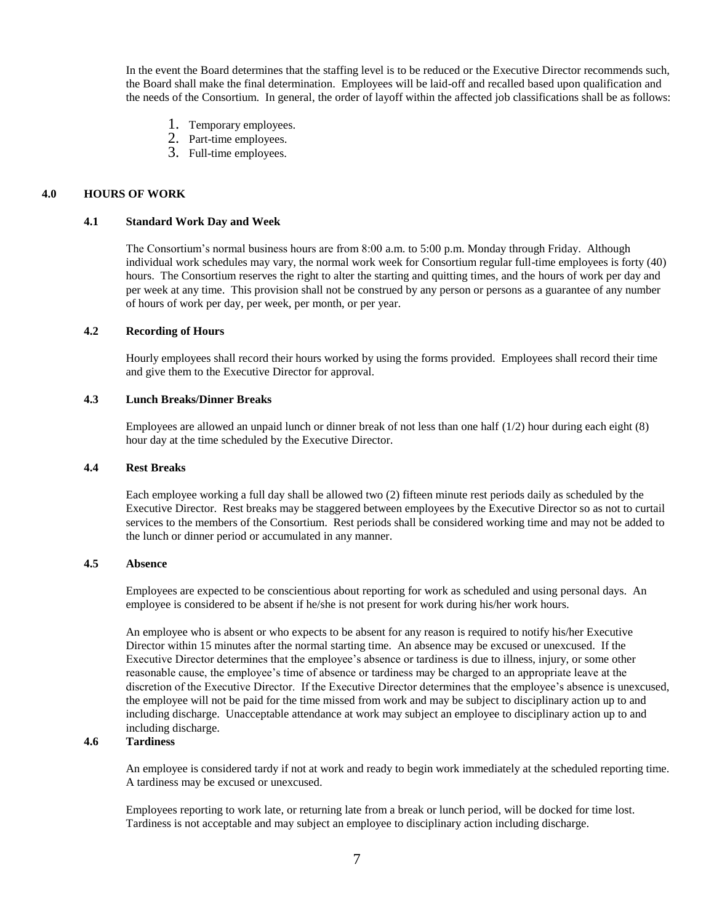In the event the Board determines that the staffing level is to be reduced or the Executive Director recommends such, the Board shall make the final determination. Employees will be laid-off and recalled based upon qualification and the needs of the Consortium. In general, the order of layoff within the affected job classifications shall be as follows:

- 1. Temporary employees.
- 2. Part-time employees.
- 3. Full-time employees.

### **4.0 HOURS OF WORK**

#### **4.1 Standard Work Day and Week**

The Consortium's normal business hours are from 8:00 a.m. to 5:00 p.m. Monday through Friday. Although individual work schedules may vary, the normal work week for Consortium regular full-time employees is forty (40) hours. The Consortium reserves the right to alter the starting and quitting times, and the hours of work per day and per week at any time. This provision shall not be construed by any person or persons as a guarantee of any number of hours of work per day, per week, per month, or per year.

#### **4.2 Recording of Hours**

Hourly employees shall record their hours worked by using the forms provided. Employees shall record their time and give them to the Executive Director for approval.

# **4.3 Lunch Breaks/Dinner Breaks**

Employees are allowed an unpaid lunch or dinner break of not less than one half  $(1/2)$  hour during each eight  $(8)$ hour day at the time scheduled by the Executive Director.

#### **4.4 Rest Breaks**

Each employee working a full day shall be allowed two (2) fifteen minute rest periods daily as scheduled by the Executive Director. Rest breaks may be staggered between employees by the Executive Director so as not to curtail services to the members of the Consortium. Rest periods shall be considered working time and may not be added to the lunch or dinner period or accumulated in any manner.

# **4.5 Absence**

Employees are expected to be conscientious about reporting for work as scheduled and using personal days. An employee is considered to be absent if he/she is not present for work during his/her work hours.

An employee who is absent or who expects to be absent for any reason is required to notify his/her Executive Director within 15 minutes after the normal starting time. An absence may be excused or unexcused. If the Executive Director determines that the employee's absence or tardiness is due to illness, injury, or some other reasonable cause, the employee's time of absence or tardiness may be charged to an appropriate leave at the discretion of the Executive Director. If the Executive Director determines that the employee's absence is unexcused, the employee will not be paid for the time missed from work and may be subject to disciplinary action up to and including discharge. Unacceptable attendance at work may subject an employee to disciplinary action up to and including discharge.

# **4.6 Tardiness**

An employee is considered tardy if not at work and ready to begin work immediately at the scheduled reporting time. A tardiness may be excused or unexcused.

Employees reporting to work late, or returning late from a break or lunch period, will be docked for time lost. Tardiness is not acceptable and may subject an employee to disciplinary action including discharge.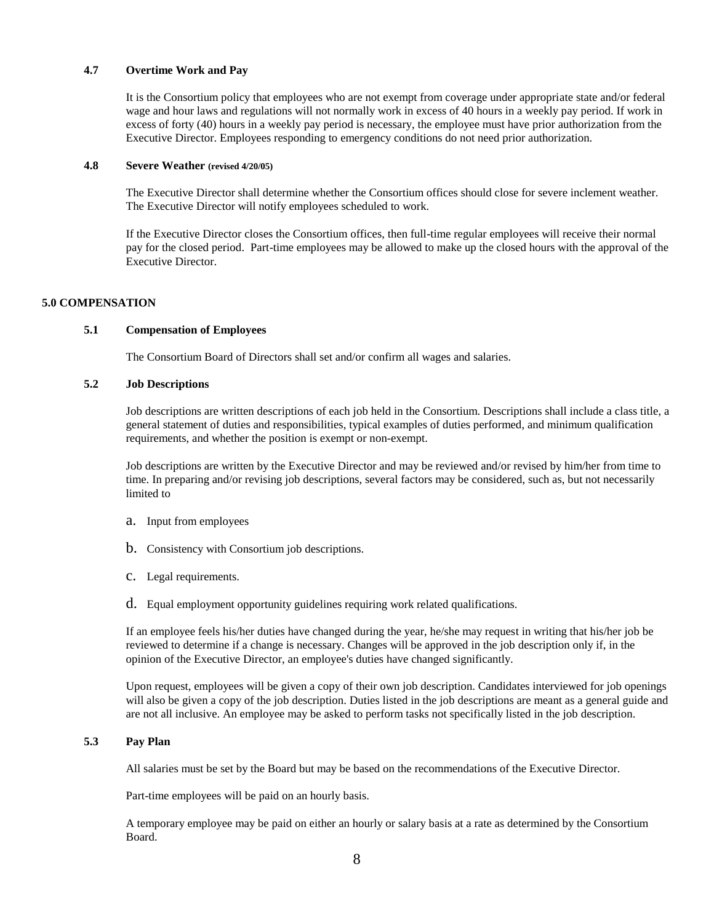## **4.7 Overtime Work and Pay**

It is the Consortium policy that employees who are not exempt from coverage under appropriate state and/or federal wage and hour laws and regulations will not normally work in excess of 40 hours in a weekly pay period. If work in excess of forty (40) hours in a weekly pay period is necessary, the employee must have prior authorization from the Executive Director. Employees responding to emergency conditions do not need prior authorization.

#### **4.8 Severe Weather (revised 4/20/05)**

The Executive Director shall determine whether the Consortium offices should close for severe inclement weather. The Executive Director will notify employees scheduled to work.

If the Executive Director closes the Consortium offices, then full-time regular employees will receive their normal pay for the closed period. Part-time employees may be allowed to make up the closed hours with the approval of the Executive Director.

### **5.0 COMPENSATION**

# **5.1 Compensation of Employees**

The Consortium Board of Directors shall set and/or confirm all wages and salaries.

# **5.2 Job Descriptions**

Job descriptions are written descriptions of each job held in the Consortium. Descriptions shall include a class title, a general statement of duties and responsibilities, typical examples of duties performed, and minimum qualification requirements, and whether the position is exempt or non-exempt.

Job descriptions are written by the Executive Director and may be reviewed and/or revised by him/her from time to time. In preparing and/or revising job descriptions, several factors may be considered, such as, but not necessarily limited to

- a. Input from employees
- b. Consistency with Consortium job descriptions.
- c. Legal requirements.
- d. Equal employment opportunity guidelines requiring work related qualifications.

If an employee feels his/her duties have changed during the year, he/she may request in writing that his/her job be reviewed to determine if a change is necessary. Changes will be approved in the job description only if, in the opinion of the Executive Director, an employee's duties have changed significantly.

Upon request, employees will be given a copy of their own job description. Candidates interviewed for job openings will also be given a copy of the job description. Duties listed in the job descriptions are meant as a general guide and are not all inclusive. An employee may be asked to perform tasks not specifically listed in the job description.

# **5.3 Pay Plan**

All salaries must be set by the Board but may be based on the recommendations of the Executive Director.

Part-time employees will be paid on an hourly basis.

A temporary employee may be paid on either an hourly or salary basis at a rate as determined by the Consortium Board.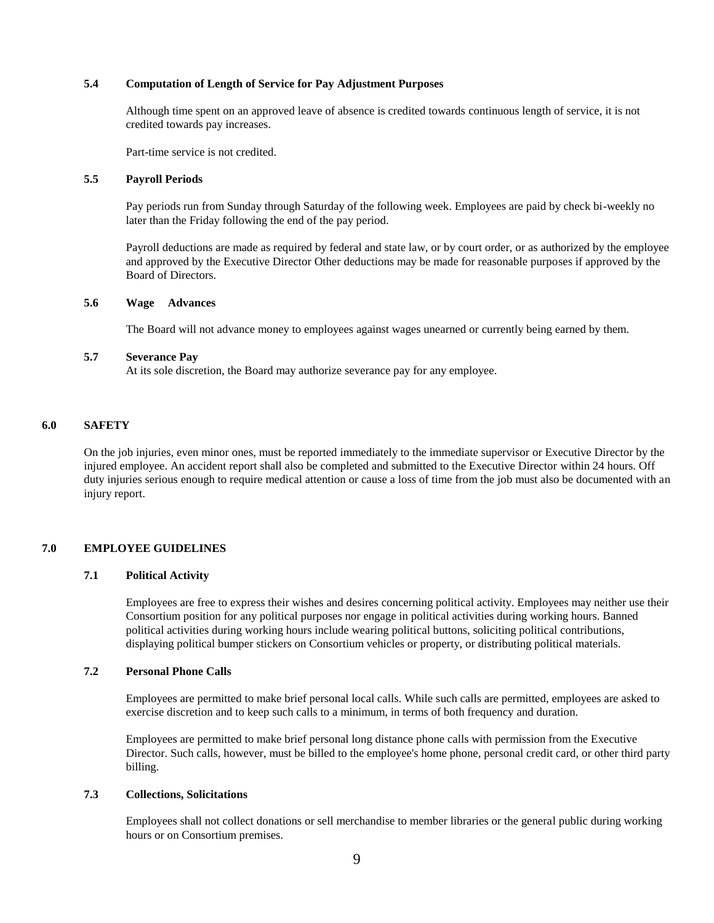### **5.4 Computation of Length of Service for Pay Adjustment Purposes**

Although time spent on an approved leave of absence is credited towards continuous length of service, it is not credited towards pay increases.

Part-time service is not credited.

#### **5.5 Payroll Periods**

Pay periods run from Sunday through Saturday of the following week. Employees are paid by check bi-weekly no later than the Friday following the end of the pay period.

Payroll deductions are made as required by federal and state law, or by court order, or as authorized by the employee and approved by the Executive Director Other deductions may be made for reasonable purposes if approved by the Board of Directors.

#### **5.6 Wage Advances**

The Board will not advance money to employees against wages unearned or currently being earned by them.

#### **5.7 Severance Pay**

At its sole discretion, the Board may authorize severance pay for any employee.

#### **6.0 SAFETY**

On the job injuries, even minor ones, must be reported immediately to the immediate supervisor or Executive Director by the injured employee. An accident report shall also be completed and submitted to the Executive Director within 24 hours. Off duty injuries serious enough to require medical attention or cause a loss of time from the job must also be documented with an injury report.

#### **7.0 EMPLOYEE GUIDELINES**

#### **7.1 Political Activity**

Employees are free to express their wishes and desires concerning political activity. Employees may neither use their Consortium position for any political purposes nor engage in political activities during working hours. Banned political activities during working hours include wearing political buttons, soliciting political contributions, displaying political bumper stickers on Consortium vehicles or property, or distributing political materials.

#### **7.2 Personal Phone Calls**

Employees are permitted to make brief personal local calls. While such calls are permitted, employees are asked to exercise discretion and to keep such calls to a minimum, in terms of both frequency and duration.

Employees are permitted to make brief personal long distance phone calls with permission from the Executive Director. Such calls, however, must be billed to the employee's home phone, personal credit card, or other third party billing.

#### **7.3 Collections, Solicitations**

Employees shall not collect donations or sell merchandise to member libraries or the general public during working hours or on Consortium premises.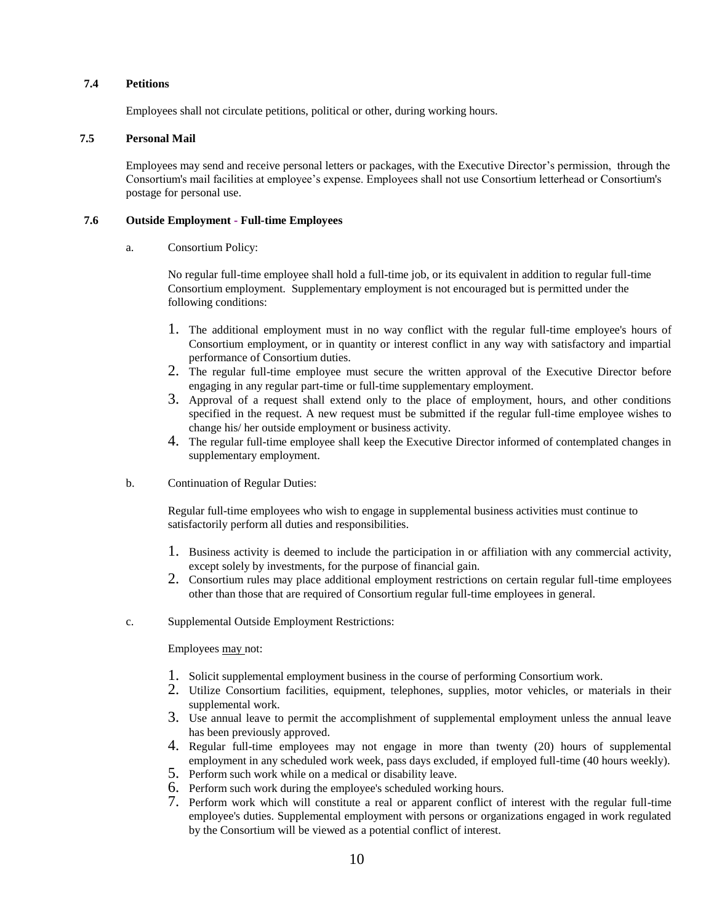# **7.4 Petitions**

Employees shall not circulate petitions, political or other, during working hours.

### **7.5 Personal Mail**

Employees may send and receive personal letters or packages, with the Executive Director's permission, through the Consortium's mail facilities at employee's expense. Employees shall not use Consortium letterhead or Consortium's postage for personal use.

### **7.6 Outside Employment - Full-time Employees**

a. Consortium Policy:

No regular full-time employee shall hold a full-time job, or its equivalent in addition to regular full-time Consortium employment. Supplementary employment is not encouraged but is permitted under the following conditions:

- 1. The additional employment must in no way conflict with the regular full-time employee's hours of Consortium employment, or in quantity or interest conflict in any way with satisfactory and impartial performance of Consortium duties.
- 2. The regular full-time employee must secure the written approval of the Executive Director before engaging in any regular part-time or full-time supplementary employment.
- 3. Approval of a request shall extend only to the place of employment, hours, and other conditions specified in the request. A new request must be submitted if the regular full-time employee wishes to change his/ her outside employment or business activity.
- 4. The regular full-time employee shall keep the Executive Director informed of contemplated changes in supplementary employment.
- b. Continuation of Regular Duties:

Regular full-time employees who wish to engage in supplemental business activities must continue to satisfactorily perform all duties and responsibilities.

- 1. Business activity is deemed to include the participation in or affiliation with any commercial activity, except solely by investments, for the purpose of financial gain.
- 2. Consortium rules may place additional employment restrictions on certain regular full-time employees other than those that are required of Consortium regular full-time employees in general.
- c. Supplemental Outside Employment Restrictions:

Employees may not:

- 1. Solicit supplemental employment business in the course of performing Consortium work.
- 2. Utilize Consortium facilities, equipment, telephones, supplies, motor vehicles, or materials in their supplemental work.
- 3. Use annual leave to permit the accomplishment of supplemental employment unless the annual leave has been previously approved.
- 4. Regular full-time employees may not engage in more than twenty (20) hours of supplemental employment in any scheduled work week, pass days excluded, if employed full-time (40 hours weekly).
- 5. Perform such work while on a medical or disability leave.
- 6. Perform such work during the employee's scheduled working hours.
- 7. Perform work which will constitute a real or apparent conflict of interest with the regular full-time employee's duties. Supplemental employment with persons or organizations engaged in work regulated by the Consortium will be viewed as a potential conflict of interest.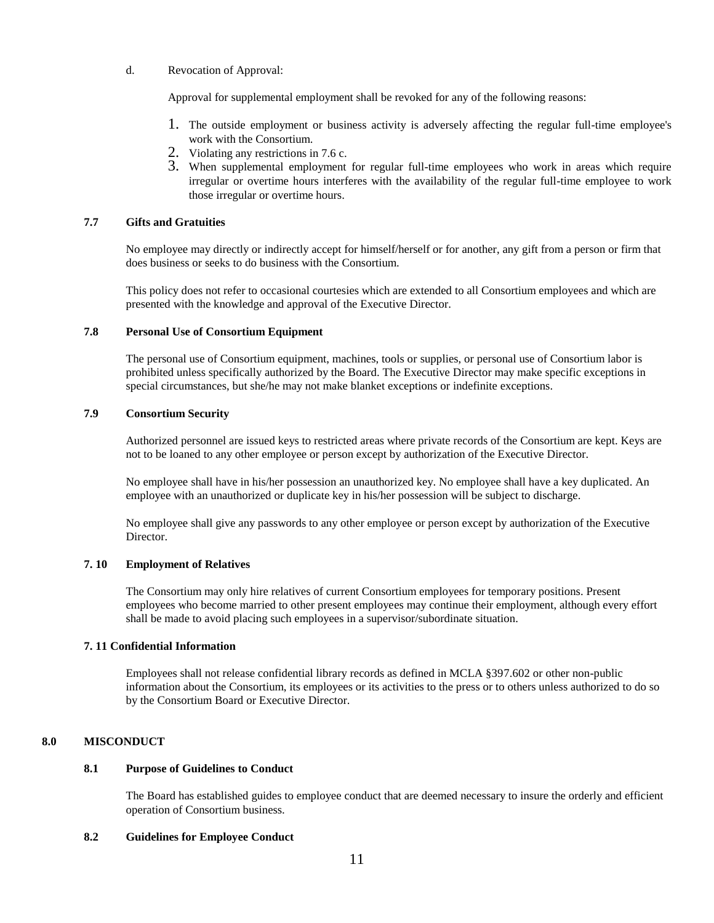#### d. Revocation of Approval:

Approval for supplemental employment shall be revoked for any of the following reasons:

- 1. The outside employment or business activity is adversely affecting the regular full-time employee's work with the Consortium.
- 2. Violating any restrictions in 7.6 c.
- 3. When supplemental employment for regular full-time employees who work in areas which require irregular or overtime hours interferes with the availability of the regular full-time employee to work those irregular or overtime hours.

# **7.7 Gifts and Gratuities**

No employee may directly or indirectly accept for himself/herself or for another, any gift from a person or firm that does business or seeks to do business with the Consortium.

This policy does not refer to occasional courtesies which are extended to all Consortium employees and which are presented with the knowledge and approval of the Executive Director.

### **7.8 Personal Use of Consortium Equipment**

The personal use of Consortium equipment, machines, tools or supplies, or personal use of Consortium labor is prohibited unless specifically authorized by the Board. The Executive Director may make specific exceptions in special circumstances, but she/he may not make blanket exceptions or indefinite exceptions.

### **7.9 Consortium Security**

Authorized personnel are issued keys to restricted areas where private records of the Consortium are kept. Keys are not to be loaned to any other employee or person except by authorization of the Executive Director.

No employee shall have in his/her possession an unauthorized key. No employee shall have a key duplicated. An employee with an unauthorized or duplicate key in his/her possession will be subject to discharge.

No employee shall give any passwords to any other employee or person except by authorization of the Executive **Director** 

# **7. 10 Employment of Relatives**

The Consortium may only hire relatives of current Consortium employees for temporary positions. Present employees who become married to other present employees may continue their employment, although every effort shall be made to avoid placing such employees in a supervisor/subordinate situation.

#### **7. 11 Confidential Information**

Employees shall not release confidential library records as defined in MCLA §397.602 or other non-public information about the Consortium, its employees or its activities to the press or to others unless authorized to do so by the Consortium Board or Executive Director.

# **8.0 MISCONDUCT**

### **8.1 Purpose of Guidelines to Conduct**

The Board has established guides to employee conduct that are deemed necessary to insure the orderly and efficient operation of Consortium business.

#### **8.2 Guidelines for Employee Conduct**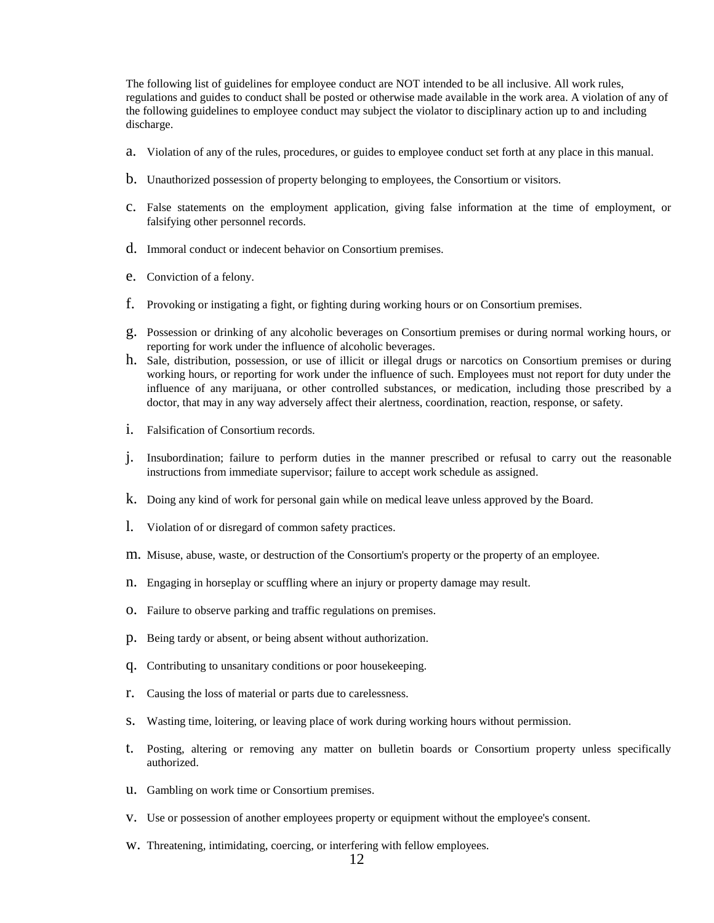The following list of guidelines for employee conduct are NOT intended to be all inclusive. All work rules, regulations and guides to conduct shall be posted or otherwise made available in the work area. A violation of any of the following guidelines to employee conduct may subject the violator to disciplinary action up to and including discharge.

- a. Violation of any of the rules, procedures, or guides to employee conduct set forth at any place in this manual.
- b. Unauthorized possession of property belonging to employees, the Consortium or visitors.
- c. False statements on the employment application, giving false information at the time of employment, or falsifying other personnel records.
- d. Immoral conduct or indecent behavior on Consortium premises.
- e. Conviction of a felony.
- f. Provoking or instigating a fight, or fighting during working hours or on Consortium premises.
- g. Possession or drinking of any alcoholic beverages on Consortium premises or during normal working hours, or reporting for work under the influence of alcoholic beverages.
- h. Sale, distribution, possession, or use of illicit or illegal drugs or narcotics on Consortium premises or during working hours, or reporting for work under the influence of such. Employees must not report for duty under the influence of any marijuana, or other controlled substances, or medication, including those prescribed by a doctor, that may in any way adversely affect their alertness, coordination, reaction, response, or safety.
- i. Falsification of Consortium records.
- j. Insubordination; failure to perform duties in the manner prescribed or refusal to carry out the reasonable instructions from immediate supervisor; failure to accept work schedule as assigned.
- k. Doing any kind of work for personal gain while on medical leave unless approved by the Board.
- l. Violation of or disregard of common safety practices.
- m. Misuse, abuse, waste, or destruction of the Consortium's property or the property of an employee.
- n. Engaging in horseplay or scuffling where an injury or property damage may result.
- o. Failure to observe parking and traffic regulations on premises.
- p. Being tardy or absent, or being absent without authorization.
- q. Contributing to unsanitary conditions or poor housekeeping.
- r. Causing the loss of material or parts due to carelessness.
- s. Wasting time, loitering, or leaving place of work during working hours without permission.
- t. Posting, altering or removing any matter on bulletin boards or Consortium property unless specifically authorized.
- u. Gambling on work time or Consortium premises.
- v. Use or possession of another employees property or equipment without the employee's consent.
- w. Threatening, intimidating, coercing, or interfering with fellow employees.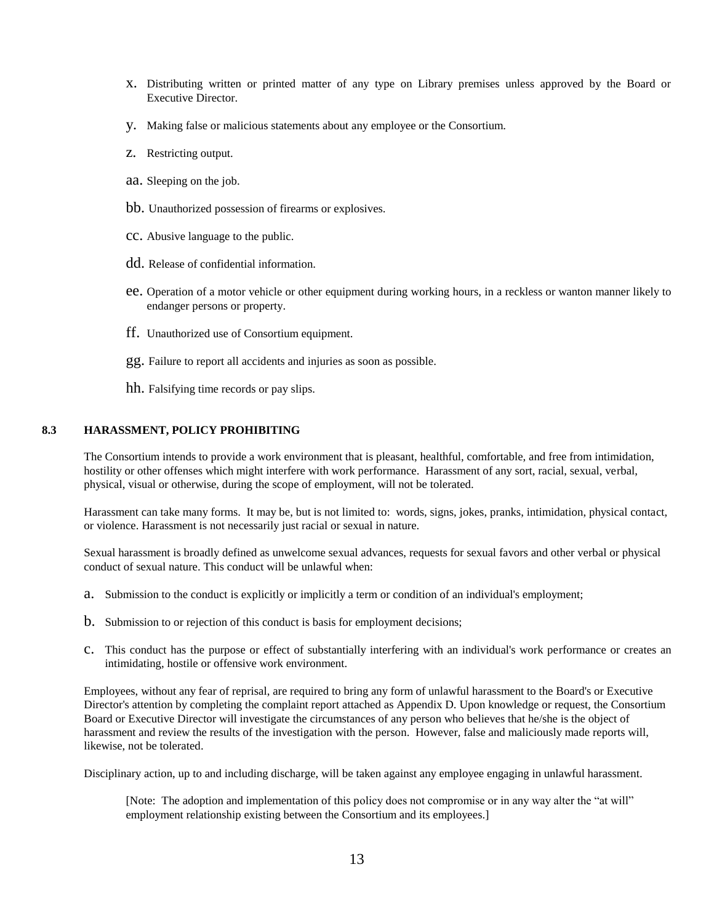- x. Distributing written or printed matter of any type on Library premises unless approved by the Board or Executive Director.
- y. Making false or malicious statements about any employee or the Consortium.
- z. Restricting output.
- aa. Sleeping on the job.
- bb. Unauthorized possession of firearms or explosives.
- cc. Abusive language to the public.
- dd. Release of confidential information.
- ee. Operation of a motor vehicle or other equipment during working hours, in a reckless or wanton manner likely to endanger persons or property.
- ff. Unauthorized use of Consortium equipment.
- gg. Failure to report all accidents and injuries as soon as possible.
- hh. Falsifying time records or pay slips.

# **8.3 HARASSMENT, POLICY PROHIBITING**

The Consortium intends to provide a work environment that is pleasant, healthful, comfortable, and free from intimidation, hostility or other offenses which might interfere with work performance. Harassment of any sort, racial, sexual, verbal, physical, visual or otherwise, during the scope of employment, will not be tolerated.

Harassment can take many forms. It may be, but is not limited to: words, signs, jokes, pranks, intimidation, physical contact, or violence. Harassment is not necessarily just racial or sexual in nature.

Sexual harassment is broadly defined as unwelcome sexual advances, requests for sexual favors and other verbal or physical conduct of sexual nature. This conduct will be unlawful when:

- a. Submission to the conduct is explicitly or implicitly a term or condition of an individual's employment;
- b. Submission to or rejection of this conduct is basis for employment decisions;
- c. This conduct has the purpose or effect of substantially interfering with an individual's work performance or creates an intimidating, hostile or offensive work environment.

Employees, without any fear of reprisal, are required to bring any form of unlawful harassment to the Board's or Executive Director's attention by completing the complaint report attached as Appendix D. Upon knowledge or request, the Consortium Board or Executive Director will investigate the circumstances of any person who believes that he/she is the object of harassment and review the results of the investigation with the person. However, false and maliciously made reports will, likewise, not be tolerated.

Disciplinary action, up to and including discharge, will be taken against any employee engaging in unlawful harassment.

[Note: The adoption and implementation of this policy does not compromise or in any way alter the "at will" employment relationship existing between the Consortium and its employees.]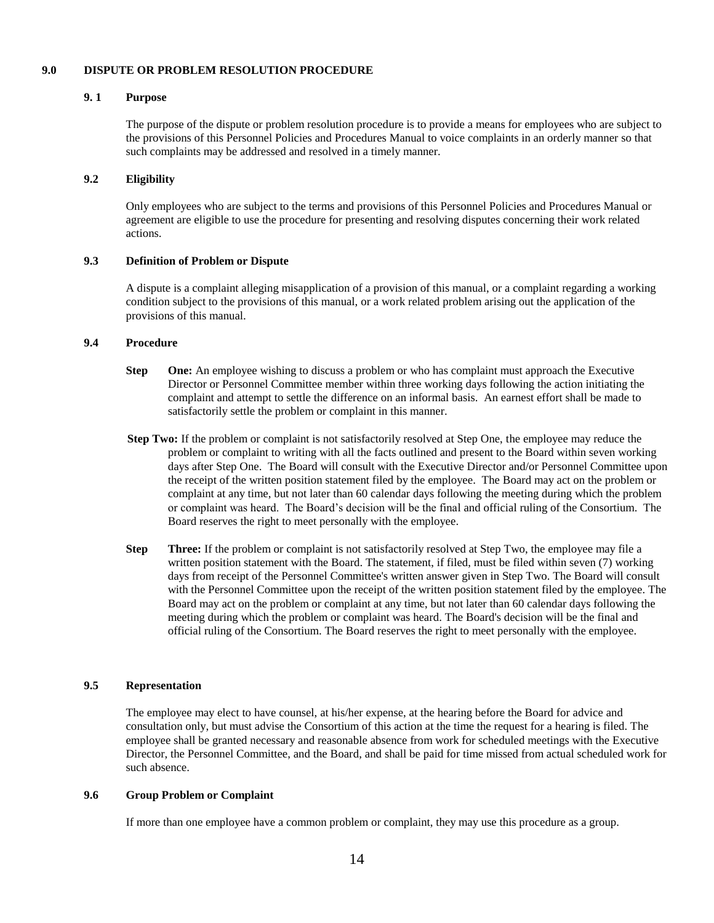#### **9.0 DISPUTE OR PROBLEM RESOLUTION PROCEDURE**

# **9. 1 Purpose**

The purpose of the dispute or problem resolution procedure is to provide a means for employees who are subject to the provisions of this Personnel Policies and Procedures Manual to voice complaints in an orderly manner so that such complaints may be addressed and resolved in a timely manner.

# **9.2 Eligibility**

Only employees who are subject to the terms and provisions of this Personnel Policies and Procedures Manual or agreement are eligible to use the procedure for presenting and resolving disputes concerning their work related actions.

### **9.3 Definition of Problem or Dispute**

A dispute is a complaint alleging misapplication of a provision of this manual, or a complaint regarding a working condition subject to the provisions of this manual, or a work related problem arising out the application of the provisions of this manual.

### **9.4 Procedure**

- **Step One:** An employee wishing to discuss a problem or who has complaint must approach the Executive Director or Personnel Committee member within three working days following the action initiating the complaint and attempt to settle the difference on an informal basis. An earnest effort shall be made to satisfactorily settle the problem or complaint in this manner.
- **Step Two:** If the problem or complaint is not satisfactorily resolved at Step One, the employee may reduce the problem or complaint to writing with all the facts outlined and present to the Board within seven working days after Step One. The Board will consult with the Executive Director and/or Personnel Committee upon the receipt of the written position statement filed by the employee. The Board may act on the problem or complaint at any time, but not later than 60 calendar days following the meeting during which the problem or complaint was heard. The Board's decision will be the final and official ruling of the Consortium. The Board reserves the right to meet personally with the employee.
- **Step Three:** If the problem or complaint is not satisfactorily resolved at Step Two, the employee may file a written position statement with the Board. The statement, if filed, must be filed within seven (7) working days from receipt of the Personnel Committee's written answer given in Step Two. The Board will consult with the Personnel Committee upon the receipt of the written position statement filed by the employee. The Board may act on the problem or complaint at any time, but not later than 60 calendar days following the meeting during which the problem or complaint was heard. The Board's decision will be the final and official ruling of the Consortium. The Board reserves the right to meet personally with the employee.

# **9.5 Representation**

The employee may elect to have counsel, at his/her expense, at the hearing before the Board for advice and consultation only, but must advise the Consortium of this action at the time the request for a hearing is filed. The employee shall be granted necessary and reasonable absence from work for scheduled meetings with the Executive Director, the Personnel Committee, and the Board, and shall be paid for time missed from actual scheduled work for such absence.

#### **9.6 Group Problem or Complaint**

If more than one employee have a common problem or complaint, they may use this procedure as a group.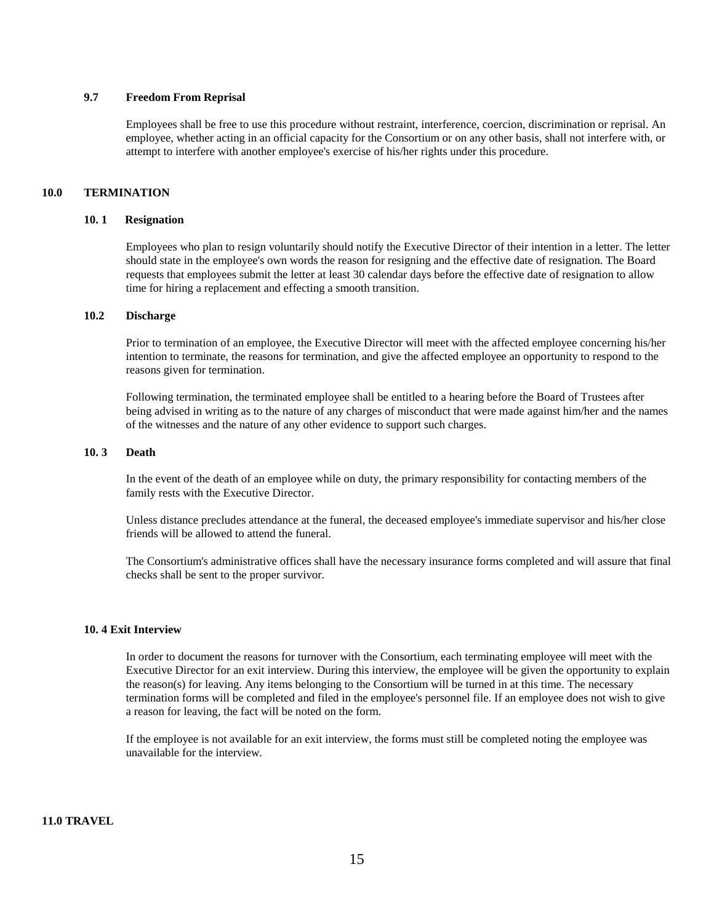# **9.7 Freedom From Reprisal**

Employees shall be free to use this procedure without restraint, interference, coercion, discrimination or reprisal. An employee, whether acting in an official capacity for the Consortium or on any other basis, shall not interfere with, or attempt to interfere with another employee's exercise of his/her rights under this procedure.

# **10.0 TERMINATION**

#### **10. 1 Resignation**

Employees who plan to resign voluntarily should notify the Executive Director of their intention in a letter. The letter should state in the employee's own words the reason for resigning and the effective date of resignation. The Board requests that employees submit the letter at least 30 calendar days before the effective date of resignation to allow time for hiring a replacement and effecting a smooth transition.

# **10.2 Discharge**

Prior to termination of an employee, the Executive Director will meet with the affected employee concerning his/her intention to terminate, the reasons for termination, and give the affected employee an opportunity to respond to the reasons given for termination.

Following termination, the terminated employee shall be entitled to a hearing before the Board of Trustees after being advised in writing as to the nature of any charges of misconduct that were made against him/her and the names of the witnesses and the nature of any other evidence to support such charges.

#### **10. 3 Death**

In the event of the death of an employee while on duty, the primary responsibility for contacting members of the family rests with the Executive Director.

Unless distance precludes attendance at the funeral, the deceased employee's immediate supervisor and his/her close friends will be allowed to attend the funeral.

The Consortium's administrative offices shall have the necessary insurance forms completed and will assure that final checks shall be sent to the proper survivor.

#### **10. 4 Exit Interview**

In order to document the reasons for turnover with the Consortium, each terminating employee will meet with the Executive Director for an exit interview. During this interview, the employee will be given the opportunity to explain the reason(s) for leaving. Any items belonging to the Consortium will be turned in at this time. The necessary termination forms will be completed and filed in the employee's personnel file. If an employee does not wish to give a reason for leaving, the fact will be noted on the form.

If the employee is not available for an exit interview, the forms must still be completed noting the employee was unavailable for the interview.

# **11.0 TRAVEL**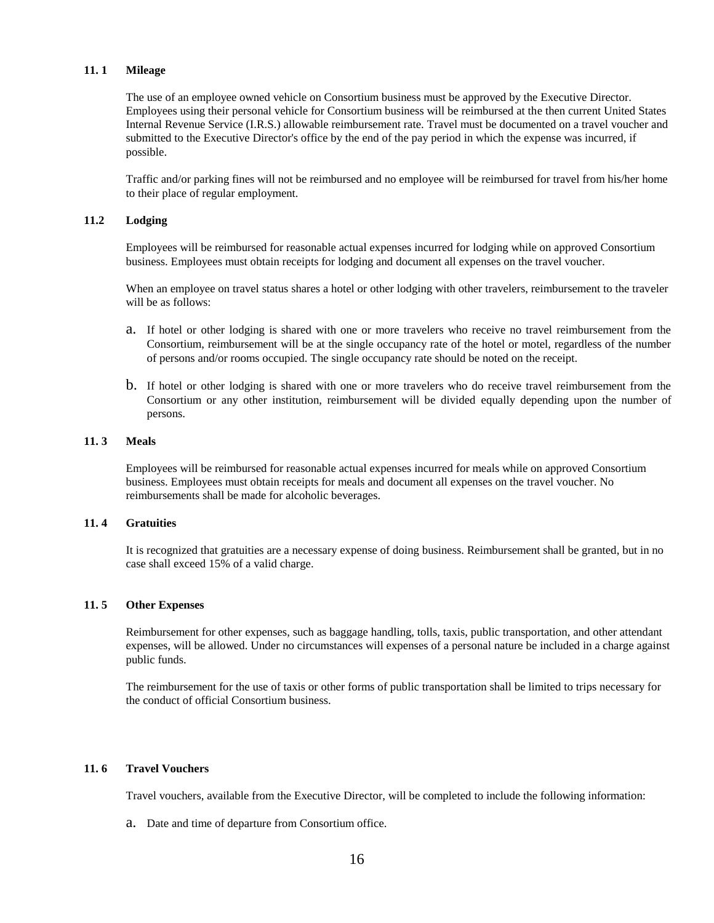### **11. 1 Mileage**

The use of an employee owned vehicle on Consortium business must be approved by the Executive Director. Employees using their personal vehicle for Consortium business will be reimbursed at the then current United States Internal Revenue Service (I.R.S.) allowable reimbursement rate. Travel must be documented on a travel voucher and submitted to the Executive Director's office by the end of the pay period in which the expense was incurred, if possible.

Traffic and/or parking fines will not be reimbursed and no employee will be reimbursed for travel from his/her home to their place of regular employment.

### **11.2 Lodging**

Employees will be reimbursed for reasonable actual expenses incurred for lodging while on approved Consortium business. Employees must obtain receipts for lodging and document all expenses on the travel voucher.

When an employee on travel status shares a hotel or other lodging with other travelers, reimbursement to the traveler will be as follows:

- a. If hotel or other lodging is shared with one or more travelers who receive no travel reimbursement from the Consortium, reimbursement will be at the single occupancy rate of the hotel or motel, regardless of the number of persons and/or rooms occupied. The single occupancy rate should be noted on the receipt.
- b. If hotel or other lodging is shared with one or more travelers who do receive travel reimbursement from the Consortium or any other institution, reimbursement will be divided equally depending upon the number of persons.

### **11. 3 Meals**

Employees will be reimbursed for reasonable actual expenses incurred for meals while on approved Consortium business. Employees must obtain receipts for meals and document all expenses on the travel voucher. No reimbursements shall be made for alcoholic beverages.

### **11. 4 Gratuities**

It is recognized that gratuities are a necessary expense of doing business. Reimbursement shall be granted, but in no case shall exceed 15% of a valid charge.

#### **11. 5 Other Expenses**

Reimbursement for other expenses, such as baggage handling, tolls, taxis, public transportation, and other attendant expenses, will be allowed. Under no circumstances will expenses of a personal nature be included in a charge against public funds.

The reimbursement for the use of taxis or other forms of public transportation shall be limited to trips necessary for the conduct of official Consortium business.

# **11. 6 Travel Vouchers**

Travel vouchers, available from the Executive Director, will be completed to include the following information:

a. Date and time of departure from Consortium office.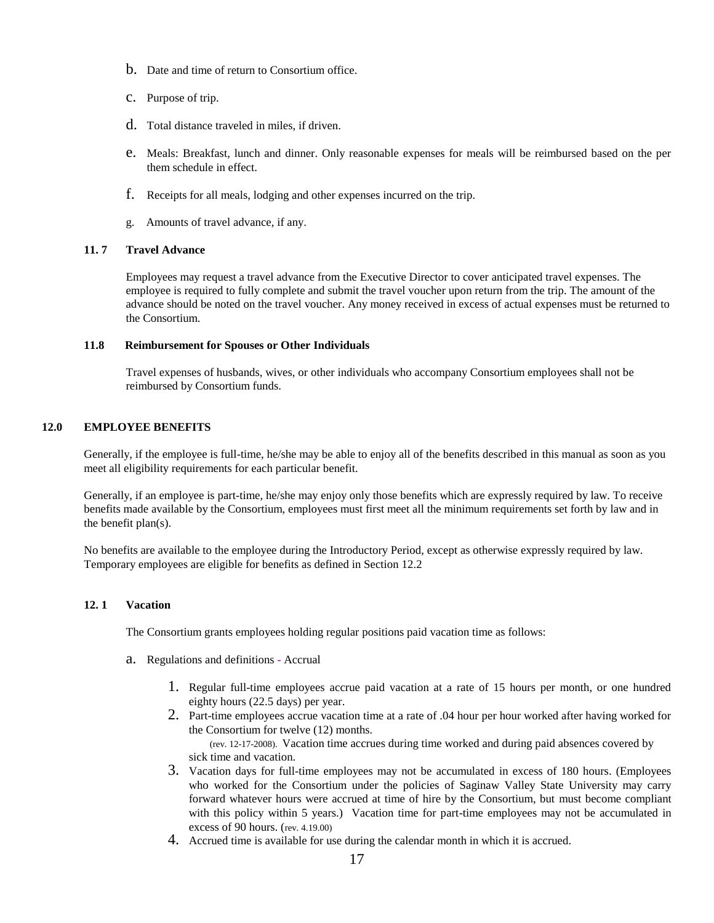- b. Date and time of return to Consortium office.
- c. Purpose of trip.
- d. Total distance traveled in miles, if driven.
- e. Meals: Breakfast, lunch and dinner. Only reasonable expenses for meals will be reimbursed based on the per them schedule in effect.
- f. Receipts for all meals, lodging and other expenses incurred on the trip.
- g. Amounts of travel advance, if any.

# **11. 7 Travel Advance**

Employees may request a travel advance from the Executive Director to cover anticipated travel expenses. The employee is required to fully complete and submit the travel voucher upon return from the trip. The amount of the advance should be noted on the travel voucher. Any money received in excess of actual expenses must be returned to the Consortium.

# **11.8 Reimbursement for Spouses or Other Individuals**

Travel expenses of husbands, wives, or other individuals who accompany Consortium employees shall not be reimbursed by Consortium funds.

# **12.0 EMPLOYEE BENEFITS**

Generally, if the employee is full-time, he/she may be able to enjoy all of the benefits described in this manual as soon as you meet all eligibility requirements for each particular benefit.

Generally, if an employee is part-time, he/she may enjoy only those benefits which are expressly required by law. To receive benefits made available by the Consortium, employees must first meet all the minimum requirements set forth by law and in the benefit plan(s).

No benefits are available to the employee during the Introductory Period, except as otherwise expressly required by law. Temporary employees are eligible for benefits as defined in Section 12.2

# **12. 1 Vacation**

The Consortium grants employees holding regular positions paid vacation time as follows:

- a. Regulations and definitions Accrual
	- 1. Regular full-time employees accrue paid vacation at a rate of 15 hours per month, or one hundred eighty hours (22.5 days) per year.
	- 2. Part-time employees accrue vacation time at a rate of .04 hour per hour worked after having worked for the Consortium for twelve (12) months.

(rev. 12-17-2008). Vacation time accrues during time worked and during paid absences covered by sick time and vacation.

- 3. Vacation days for full-time employees may not be accumulated in excess of 180 hours. (Employees who worked for the Consortium under the policies of Saginaw Valley State University may carry forward whatever hours were accrued at time of hire by the Consortium, but must become compliant with this policy within 5 years.) Vacation time for part-time employees may not be accumulated in excess of 90 hours. (rev. 4.19.00)
- 4. Accrued time is available for use during the calendar month in which it is accrued.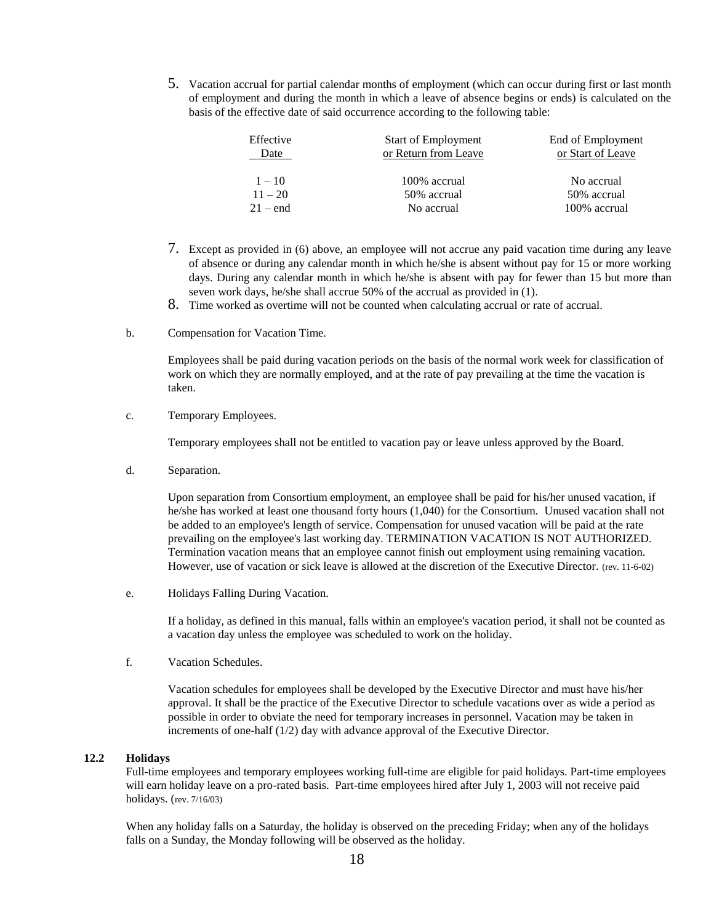5. Vacation accrual for partial calendar months of employment (which can occur during first or last month of employment and during the month in which a leave of absence begins or ends) is calculated on the basis of the effective date of said occurrence according to the following table:

| Effective  | <b>Start of Employment</b> | End of Employment |
|------------|----------------------------|-------------------|
| Date       | or Return from Leave       | or Start of Leave |
|            |                            |                   |
| $1 - 10$   | 100% accrual               | No accrual        |
| $11 - 20$  | 50% accrual                | 50% accrual       |
| $21 - end$ | No accrual                 | 100% accrual      |

- 7. Except as provided in (6) above, an employee will not accrue any paid vacation time during any leave of absence or during any calendar month in which he/she is absent without pay for 15 or more working days. During any calendar month in which he/she is absent with pay for fewer than 15 but more than seven work days, he/she shall accrue 50% of the accrual as provided in (1).
- 8. Time worked as overtime will not be counted when calculating accrual or rate of accrual.
- b. Compensation for Vacation Time.

Employees shall be paid during vacation periods on the basis of the normal work week for classification of work on which they are normally employed, and at the rate of pay prevailing at the time the vacation is taken.

c. Temporary Employees.

Temporary employees shall not be entitled to vacation pay or leave unless approved by the Board.

d. Separation.

Upon separation from Consortium employment, an employee shall be paid for his/her unused vacation, if he/she has worked at least one thousand forty hours (1,040) for the Consortium. Unused vacation shall not be added to an employee's length of service. Compensation for unused vacation will be paid at the rate prevailing on the employee's last working day. TERMINATION VACATION IS NOT AUTHORIZED. Termination vacation means that an employee cannot finish out employment using remaining vacation. However, use of vacation or sick leave is allowed at the discretion of the Executive Director. (rev. 11-6-02)

e. Holidays Falling During Vacation.

If a holiday, as defined in this manual, falls within an employee's vacation period, it shall not be counted as a vacation day unless the employee was scheduled to work on the holiday.

f. Vacation Schedules.

Vacation schedules for employees shall be developed by the Executive Director and must have his/her approval. It shall be the practice of the Executive Director to schedule vacations over as wide a period as possible in order to obviate the need for temporary increases in personnel. Vacation may be taken in increments of one-half (1/2) day with advance approval of the Executive Director.

# **12.2 Holidays**

Full-time employees and temporary employees working full-time are eligible for paid holidays. Part-time employees will earn holiday leave on a pro-rated basis. Part-time employees hired after July 1, 2003 will not receive paid holidays. (rev. 7/16/03)

When any holiday falls on a Saturday, the holiday is observed on the preceding Friday; when any of the holidays falls on a Sunday, the Monday following will be observed as the holiday.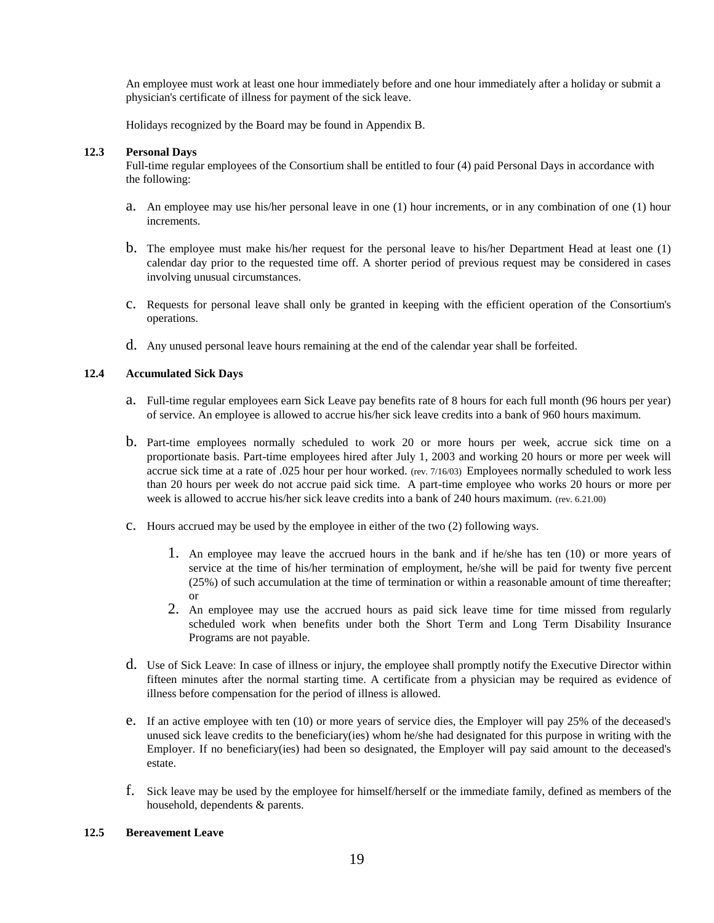An employee must work at least one hour immediately before and one hour immediately after a holiday or submit a physician's certificate of illness for payment of the sick leave.

Holidays recognized by the Board may be found in Appendix B.

### **12.3 Personal Days**

Full-time regular employees of the Consortium shall be entitled to four (4) paid Personal Days in accordance with the following:

- a. An employee may use his/her personal leave in one (1) hour increments, or in any combination of one (1) hour increments.
- b. The employee must make his/her request for the personal leave to his/her Department Head at least one (1) calendar day prior to the requested time off. A shorter period of previous request may be considered in cases involving unusual circumstances.
- c. Requests for personal leave shall only be granted in keeping with the efficient operation of the Consortium's operations.
- d. Any unused personal leave hours remaining at the end of the calendar year shall be forfeited.

# **12.4 Accumulated Sick Days**

- a. Full-time regular employees earn Sick Leave pay benefits rate of 8 hours for each full month (96 hours per year) of service. An employee is allowed to accrue his/her sick leave credits into a bank of 960 hours maximum.
- b. Part-time employees normally scheduled to work 20 or more hours per week, accrue sick time on a proportionate basis. Part-time employees hired after July 1, 2003 and working 20 hours or more per week will accrue sick time at a rate of .025 hour per hour worked. (rev. 7/16/03) Employees normally scheduled to work less than 20 hours per week do not accrue paid sick time. A part-time employee who works 20 hours or more per week is allowed to accrue his/her sick leave credits into a bank of 240 hours maximum. (rev. 6.21.00)
- c. Hours accrued may be used by the employee in either of the two (2) following ways.
	- 1. An employee may leave the accrued hours in the bank and if he/she has ten (10) or more years of service at the time of his/her termination of employment, he/she will be paid for twenty five percent (25%) of such accumulation at the time of termination or within a reasonable amount of time thereafter; or
	- 2. An employee may use the accrued hours as paid sick leave time for time missed from regularly scheduled work when benefits under both the Short Term and Long Term Disability Insurance Programs are not payable.
- d. Use of Sick Leave: In case of illness or injury, the employee shall promptly notify the Executive Director within fifteen minutes after the normal starting time. A certificate from a physician may be required as evidence of illness before compensation for the period of illness is allowed.
- e. If an active employee with ten (10) or more years of service dies, the Employer will pay 25% of the deceased's unused sick leave credits to the beneficiary(ies) whom he/she had designated for this purpose in writing with the Employer. If no beneficiary(ies) had been so designated, the Employer will pay said amount to the deceased's estate.
- f. Sick leave may be used by the employee for himself/herself or the immediate family, defined as members of the household, dependents & parents.

#### **12.5 Bereavement Leave**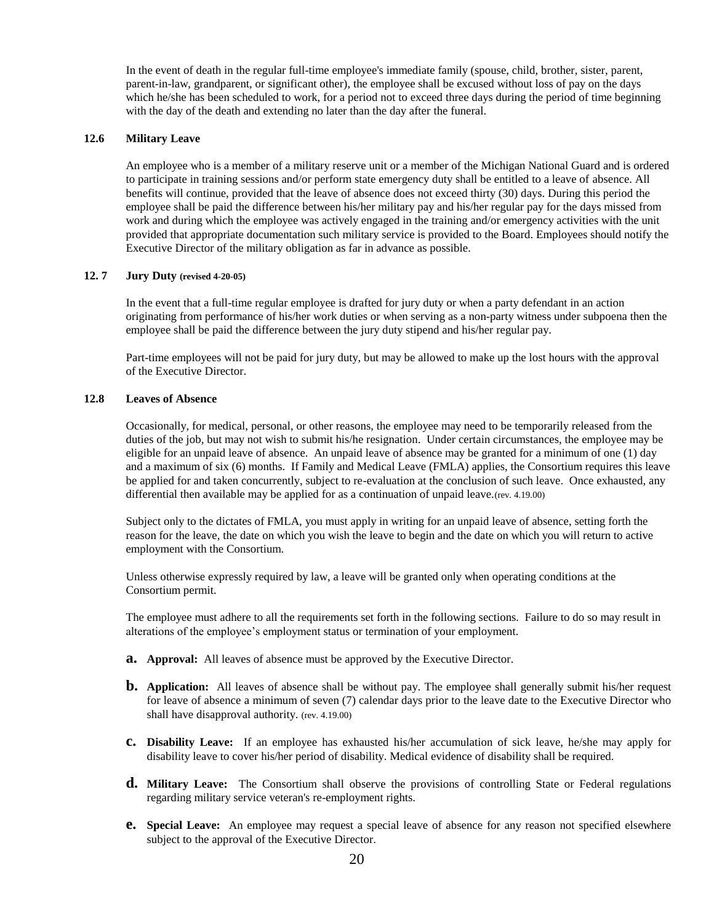In the event of death in the regular full-time employee's immediate family (spouse, child, brother, sister, parent, parent-in-law, grandparent, or significant other), the employee shall be excused without loss of pay on the days which he/she has been scheduled to work, for a period not to exceed three days during the period of time beginning with the day of the death and extending no later than the day after the funeral.

#### **12.6 Military Leave**

An employee who is a member of a military reserve unit or a member of the Michigan National Guard and is ordered to participate in training sessions and/or perform state emergency duty shall be entitled to a leave of absence. All benefits will continue, provided that the leave of absence does not exceed thirty (30) days. During this period the employee shall be paid the difference between his/her military pay and his/her regular pay for the days missed from work and during which the employee was actively engaged in the training and/or emergency activities with the unit provided that appropriate documentation such military service is provided to the Board. Employees should notify the Executive Director of the military obligation as far in advance as possible.

# **12. 7 Jury Duty (revised 4-20-05)**

In the event that a full-time regular employee is drafted for jury duty or when a party defendant in an action originating from performance of his/her work duties or when serving as a non-party witness under subpoena then the employee shall be paid the difference between the jury duty stipend and his/her regular pay.

Part-time employees will not be paid for jury duty, but may be allowed to make up the lost hours with the approval of the Executive Director.

#### **12.8 Leaves of Absence**

Occasionally, for medical, personal, or other reasons, the employee may need to be temporarily released from the duties of the job, but may not wish to submit his/he resignation. Under certain circumstances, the employee may be eligible for an unpaid leave of absence. An unpaid leave of absence may be granted for a minimum of one (1) day and a maximum of six (6) months. If Family and Medical Leave (FMLA) applies, the Consortium requires this leave be applied for and taken concurrently, subject to re-evaluation at the conclusion of such leave. Once exhausted, any differential then available may be applied for as a continuation of unpaid leave.(rev. 4.19.00)

Subject only to the dictates of FMLA, you must apply in writing for an unpaid leave of absence, setting forth the reason for the leave, the date on which you wish the leave to begin and the date on which you will return to active employment with the Consortium.

Unless otherwise expressly required by law, a leave will be granted only when operating conditions at the Consortium permit.

The employee must adhere to all the requirements set forth in the following sections. Failure to do so may result in alterations of the employee's employment status or termination of your employment.

- **a. Approval:** All leaves of absence must be approved by the Executive Director.
- **b. Application:** All leaves of absence shall be without pay. The employee shall generally submit his/her request for leave of absence a minimum of seven (7) calendar days prior to the leave date to the Executive Director who shall have disapproval authority. (rev. 4.19.00)
- **c. Disability Leave:** If an employee has exhausted his/her accumulation of sick leave, he/she may apply for disability leave to cover his/her period of disability. Medical evidence of disability shall be required.
- **d. Military Leave:** The Consortium shall observe the provisions of controlling State or Federal regulations regarding military service veteran's re-employment rights.
- **e. Special Leave:** An employee may request a special leave of absence for any reason not specified elsewhere subject to the approval of the Executive Director.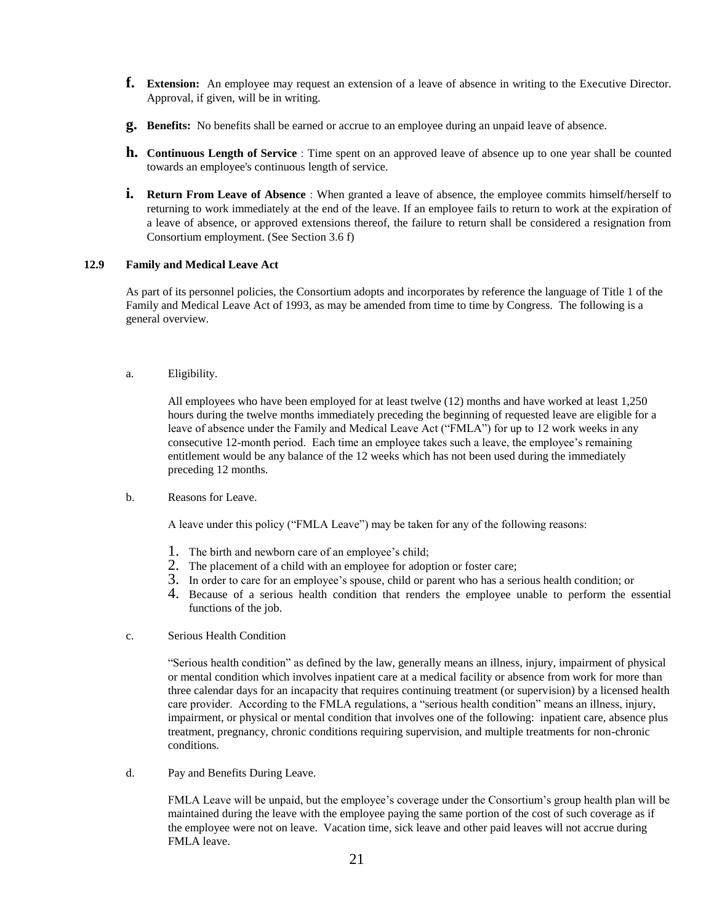- **f. Extension:** An employee may request an extension of a leave of absence in writing to the Executive Director. Approval, if given, will be in writing.
- **g. Benefits:** No benefits shall be earned or accrue to an employee during an unpaid leave of absence.
- **h. Continuous Length of Service** : Time spent on an approved leave of absence up to one year shall be counted towards an employee's continuous length of service.
- **i.** Return From Leave of Absence : When granted a leave of absence, the employee commits himself/herself to returning to work immediately at the end of the leave. If an employee fails to return to work at the expiration of a leave of absence, or approved extensions thereof, the failure to return shall be considered a resignation from Consortium employment. (See Section 3.6 f)

#### **12.9 Family and Medical Leave Act**

As part of its personnel policies, the Consortium adopts and incorporates by reference the language of Title 1 of the Family and Medical Leave Act of 1993, as may be amended from time to time by Congress. The following is a general overview.

a. Eligibility.

All employees who have been employed for at least twelve (12) months and have worked at least 1,250 hours during the twelve months immediately preceding the beginning of requested leave are eligible for a leave of absence under the Family and Medical Leave Act ("FMLA") for up to 12 work weeks in any consecutive 12-month period. Each time an employee takes such a leave, the employee's remaining entitlement would be any balance of the 12 weeks which has not been used during the immediately preceding 12 months.

b. Reasons for Leave.

A leave under this policy ("FMLA Leave") may be taken for any of the following reasons:

- 1. The birth and newborn care of an employee's child;
- 2. The placement of a child with an employee for adoption or foster care;
- 3. In order to care for an employee's spouse, child or parent who has a serious health condition; or
- 4. Because of a serious health condition that renders the employee unable to perform the essential functions of the job.
- c. Serious Health Condition

"Serious health condition" as defined by the law, generally means an illness, injury, impairment of physical or mental condition which involves inpatient care at a medical facility or absence from work for more than three calendar days for an incapacity that requires continuing treatment (or supervision) by a licensed health care provider. According to the FMLA regulations, a "serious health condition" means an illness, injury, impairment, or physical or mental condition that involves one of the following: inpatient care, absence plus treatment, pregnancy, chronic conditions requiring supervision, and multiple treatments for non-chronic conditions.

d. Pay and Benefits During Leave.

FMLA Leave will be unpaid, but the employee's coverage under the Consortium's group health plan will be maintained during the leave with the employee paying the same portion of the cost of such coverage as if the employee were not on leave. Vacation time, sick leave and other paid leaves will not accrue during FMLA leave.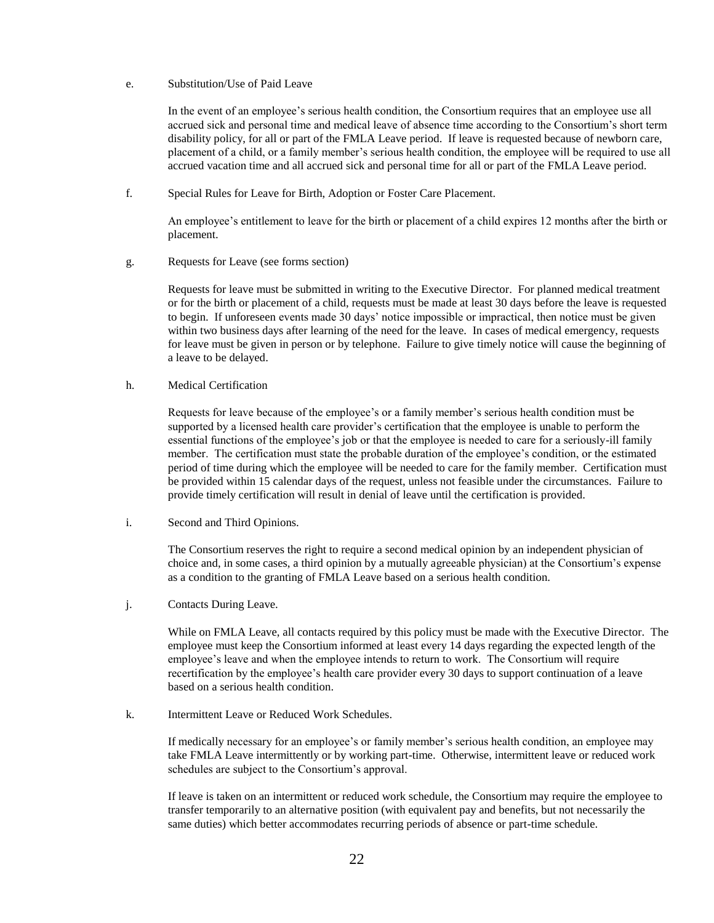# e. Substitution/Use of Paid Leave

In the event of an employee's serious health condition, the Consortium requires that an employee use all accrued sick and personal time and medical leave of absence time according to the Consortium's short term disability policy, for all or part of the FMLA Leave period. If leave is requested because of newborn care, placement of a child, or a family member's serious health condition, the employee will be required to use all accrued vacation time and all accrued sick and personal time for all or part of the FMLA Leave period.

f. Special Rules for Leave for Birth, Adoption or Foster Care Placement.

An employee's entitlement to leave for the birth or placement of a child expires 12 months after the birth or placement.

g. Requests for Leave (see forms section)

Requests for leave must be submitted in writing to the Executive Director. For planned medical treatment or for the birth or placement of a child, requests must be made at least 30 days before the leave is requested to begin. If unforeseen events made 30 days' notice impossible or impractical, then notice must be given within two business days after learning of the need for the leave. In cases of medical emergency, requests for leave must be given in person or by telephone. Failure to give timely notice will cause the beginning of a leave to be delayed.

h. Medical Certification

Requests for leave because of the employee's or a family member's serious health condition must be supported by a licensed health care provider's certification that the employee is unable to perform the essential functions of the employee's job or that the employee is needed to care for a seriously-ill family member. The certification must state the probable duration of the employee's condition, or the estimated period of time during which the employee will be needed to care for the family member. Certification must be provided within 15 calendar days of the request, unless not feasible under the circumstances. Failure to provide timely certification will result in denial of leave until the certification is provided.

i. Second and Third Opinions.

The Consortium reserves the right to require a second medical opinion by an independent physician of choice and, in some cases, a third opinion by a mutually agreeable physician) at the Consortium's expense as a condition to the granting of FMLA Leave based on a serious health condition.

j. Contacts During Leave.

While on FMLA Leave, all contacts required by this policy must be made with the Executive Director. The employee must keep the Consortium informed at least every 14 days regarding the expected length of the employee's leave and when the employee intends to return to work. The Consortium will require recertification by the employee's health care provider every 30 days to support continuation of a leave based on a serious health condition.

k. Intermittent Leave or Reduced Work Schedules.

If medically necessary for an employee's or family member's serious health condition, an employee may take FMLA Leave intermittently or by working part-time. Otherwise, intermittent leave or reduced work schedules are subject to the Consortium's approval.

If leave is taken on an intermittent or reduced work schedule, the Consortium may require the employee to transfer temporarily to an alternative position (with equivalent pay and benefits, but not necessarily the same duties) which better accommodates recurring periods of absence or part-time schedule.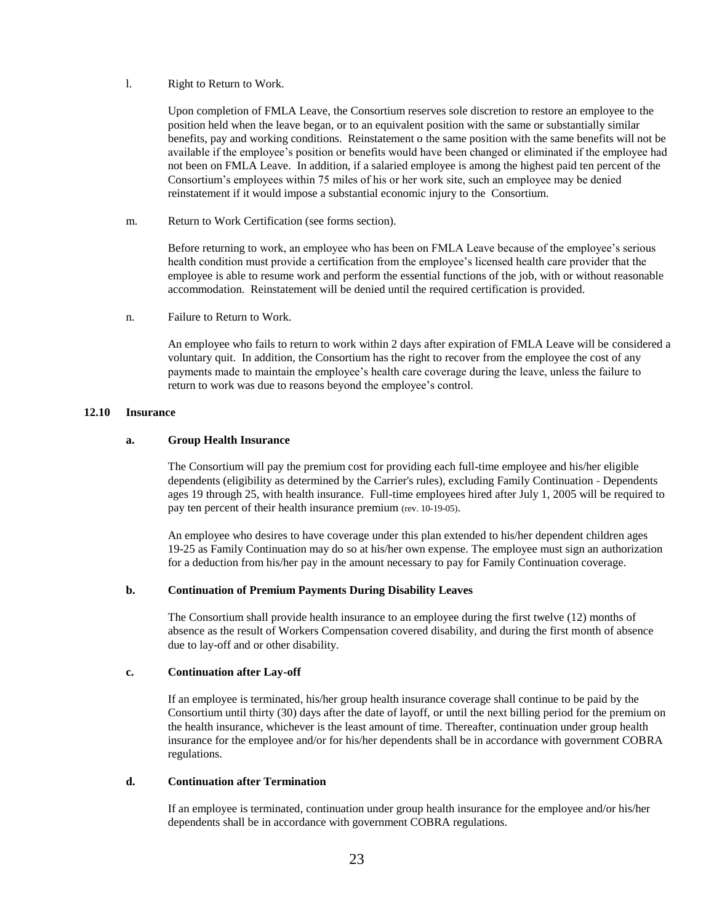# l. Right to Return to Work.

Upon completion of FMLA Leave, the Consortium reserves sole discretion to restore an employee to the position held when the leave began, or to an equivalent position with the same or substantially similar benefits, pay and working conditions. Reinstatement o the same position with the same benefits will not be available if the employee's position or benefits would have been changed or eliminated if the employee had not been on FMLA Leave. In addition, if a salaried employee is among the highest paid ten percent of the Consortium's employees within 75 miles of his or her work site, such an employee may be denied reinstatement if it would impose a substantial economic injury to the Consortium.

m. Return to Work Certification (see forms section).

Before returning to work, an employee who has been on FMLA Leave because of the employee's serious health condition must provide a certification from the employee's licensed health care provider that the employee is able to resume work and perform the essential functions of the job, with or without reasonable accommodation. Reinstatement will be denied until the required certification is provided.

n. Failure to Return to Work.

An employee who fails to return to work within 2 days after expiration of FMLA Leave will be considered a voluntary quit. In addition, the Consortium has the right to recover from the employee the cost of any payments made to maintain the employee's health care coverage during the leave, unless the failure to return to work was due to reasons beyond the employee's control.

# **12.10 Insurance**

### **a. Group Health Insurance**

The Consortium will pay the premium cost for providing each full-time employee and his/her eligible dependents (eligibility as determined by the Carrier's rules), excluding Family Continuation - Dependents ages 19 through 25, with health insurance. Full-time employees hired after July 1, 2005 will be required to pay ten percent of their health insurance premium (rev. 10-19-05).

An employee who desires to have coverage under this plan extended to his/her dependent children ages 19-25 as Family Continuation may do so at his/her own expense. The employee must sign an authorization for a deduction from his/her pay in the amount necessary to pay for Family Continuation coverage.

# **b. Continuation of Premium Payments During Disability Leaves**

The Consortium shall provide health insurance to an employee during the first twelve (12) months of absence as the result of Workers Compensation covered disability, and during the first month of absence due to lay-off and or other disability.

# **c. Continuation after Lay-off**

If an employee is terminated, his/her group health insurance coverage shall continue to be paid by the Consortium until thirty (30) days after the date of layoff, or until the next billing period for the premium on the health insurance, whichever is the least amount of time. Thereafter, continuation under group health insurance for the employee and/or for his/her dependents shall be in accordance with government COBRA regulations.

# **d. Continuation after Termination**

If an employee is terminated, continuation under group health insurance for the employee and/or his/her dependents shall be in accordance with government COBRA regulations.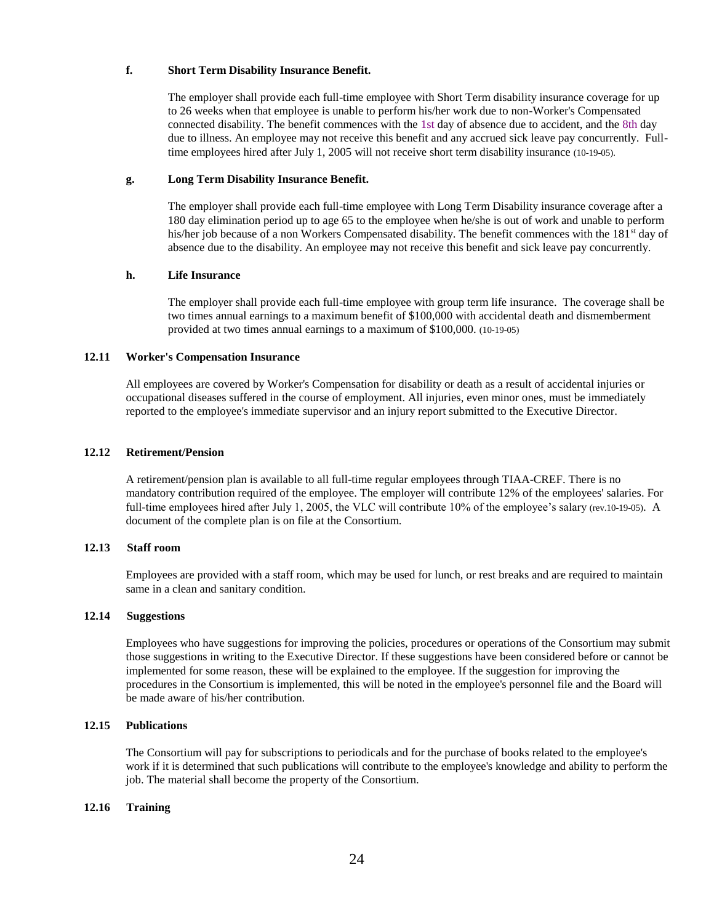# **f. Short Term Disability Insurance Benefit.**

The employer shall provide each full-time employee with Short Term disability insurance coverage for up to 26 weeks when that employee is unable to perform his/her work due to non-Worker's Compensated connected disability. The benefit commences with the 1st day of absence due to accident, and the 8th day due to illness. An employee may not receive this benefit and any accrued sick leave pay concurrently. Fulltime employees hired after July 1, 2005 will not receive short term disability insurance (10-19-05).

# **g. Long Term Disability Insurance Benefit.**

The employer shall provide each full-time employee with Long Term Disability insurance coverage after a 180 day elimination period up to age 65 to the employee when he/she is out of work and unable to perform his/her job because of a non Workers Compensated disability. The benefit commences with the 181<sup>st</sup> day of absence due to the disability. An employee may not receive this benefit and sick leave pay concurrently.

# **h. Life Insurance**

The employer shall provide each full-time employee with group term life insurance. The coverage shall be two times annual earnings to a maximum benefit of \$100,000 with accidental death and dismemberment provided at two times annual earnings to a maximum of \$100,000. (10-19-05)

### **12.11 Worker's Compensation Insurance**

All employees are covered by Worker's Compensation for disability or death as a result of accidental injuries or occupational diseases suffered in the course of employment. All injuries, even minor ones, must be immediately reported to the employee's immediate supervisor and an injury report submitted to the Executive Director.

### **12.12 Retirement/Pension**

A retirement/pension plan is available to all full-time regular employees through TIAA-CREF. There is no mandatory contribution required of the employee. The employer will contribute 12% of the employees' salaries. For full-time employees hired after July 1, 2005, the VLC will contribute 10% of the employee's salary (rev.10-19-05). A document of the complete plan is on file at the Consortium.

# **12.13 Staff room**

Employees are provided with a staff room, which may be used for lunch, or rest breaks and are required to maintain same in a clean and sanitary condition.

# **12.14 Suggestions**

Employees who have suggestions for improving the policies, procedures or operations of the Consortium may submit those suggestions in writing to the Executive Director. If these suggestions have been considered before or cannot be implemented for some reason, these will be explained to the employee. If the suggestion for improving the procedures in the Consortium is implemented, this will be noted in the employee's personnel file and the Board will be made aware of his/her contribution.

# **12.15 Publications**

The Consortium will pay for subscriptions to periodicals and for the purchase of books related to the employee's work if it is determined that such publications will contribute to the employee's knowledge and ability to perform the job. The material shall become the property of the Consortium.

#### **12.16 Training**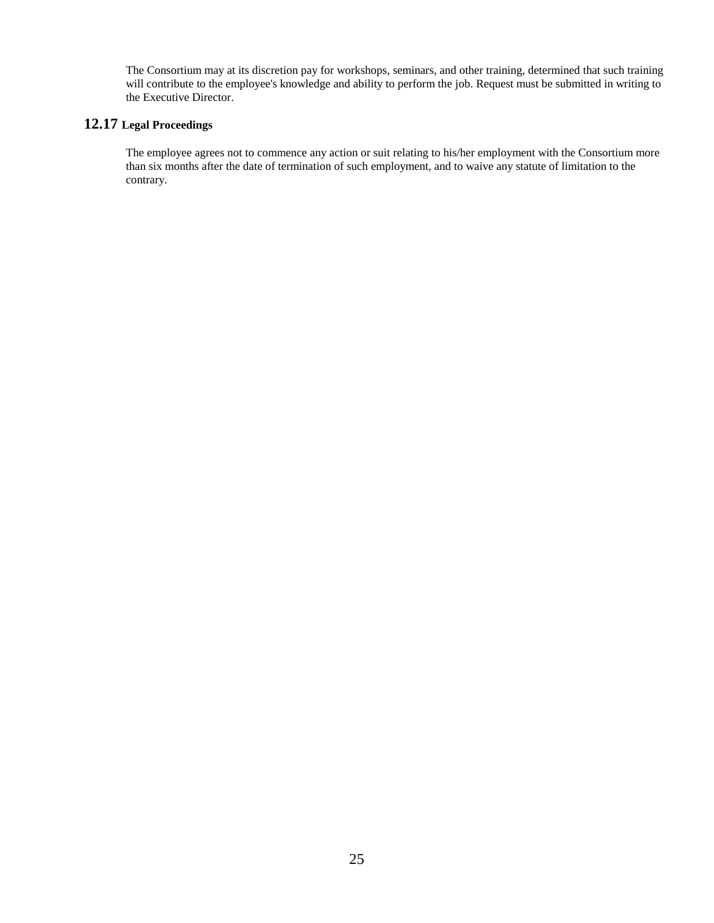The Consortium may at its discretion pay for workshops, seminars, and other training, determined that such training will contribute to the employee's knowledge and ability to perform the job. Request must be submitted in writing to the Executive Director.

# **12.17 Legal Proceedings**

The employee agrees not to commence any action or suit relating to his/her employment with the Consortium more than six months after the date of termination of such employment, and to waive any statute of limitation to the contrary.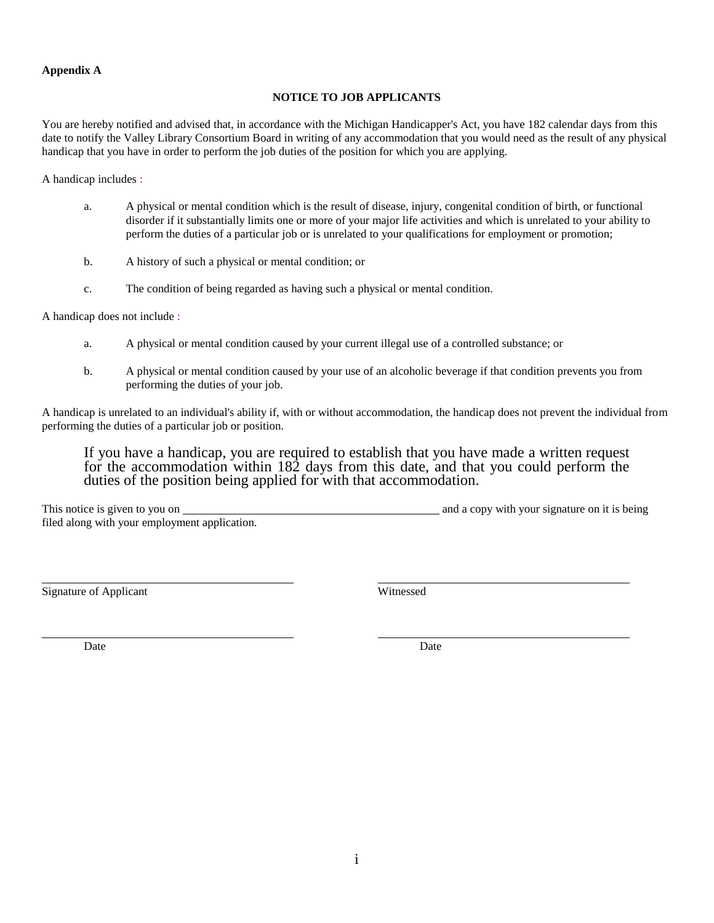# **Appendix A**

# **NOTICE TO JOB APPLICANTS**

You are hereby notified and advised that, in accordance with the Michigan Handicapper's Act, you have 182 calendar days from this date to notify the Valley Library Consortium Board in writing of any accommodation that you would need as the result of any physical handicap that you have in order to perform the job duties of the position for which you are applying.

A handicap includes :

- a. A physical or mental condition which is the result of disease, injury, congenital condition of birth, or functional disorder if it substantially limits one or more of your major life activities and which is unrelated to your ability to perform the duties of a particular job or is unrelated to your qualifications for employment or promotion;
- b. A history of such a physical or mental condition; or
- c. The condition of being regarded as having such a physical or mental condition.

A handicap does not include :

- a. A physical or mental condition caused by your current illegal use of a controlled substance; or
- b. A physical or mental condition caused by your use of an alcoholic beverage if that condition prevents you from performing the duties of your job.

A handicap is unrelated to an individual's ability if, with or without accommodation, the handicap does not prevent the individual from performing the duties of a particular job or position.

If you have a handicap, you are required to establish that you have made a written request for the accommodation within 182 days from this date, and that you could perform the duties of the position being applied for with that accommodation.

This notice is given to you on and a copy with your signature on it is being filed along with your employment application.

Signature of Applicant Witnessed

Date Date Date Date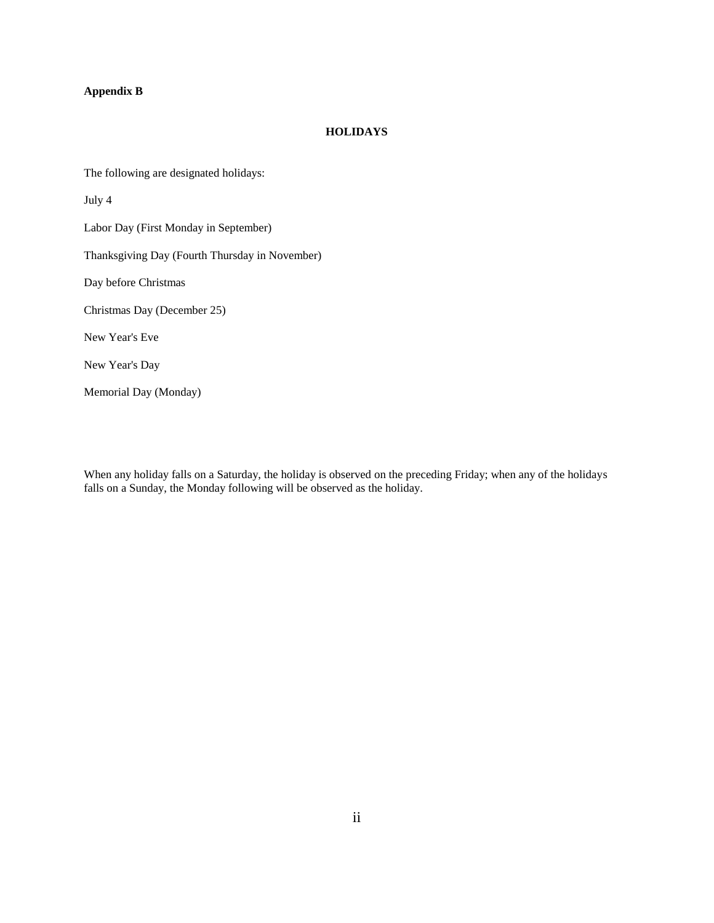# **Appendix B**

#### **HOLIDAYS**

The following are designated holidays:

July 4

Labor Day (First Monday in September)

Thanksgiving Day (Fourth Thursday in November)

Day before Christmas

Christmas Day (December 25)

New Year's Eve

New Year's Day

Memorial Day (Monday)

When any holiday falls on a Saturday, the holiday is observed on the preceding Friday; when any of the holidays falls on a Sunday, the Monday following will be observed as the holiday.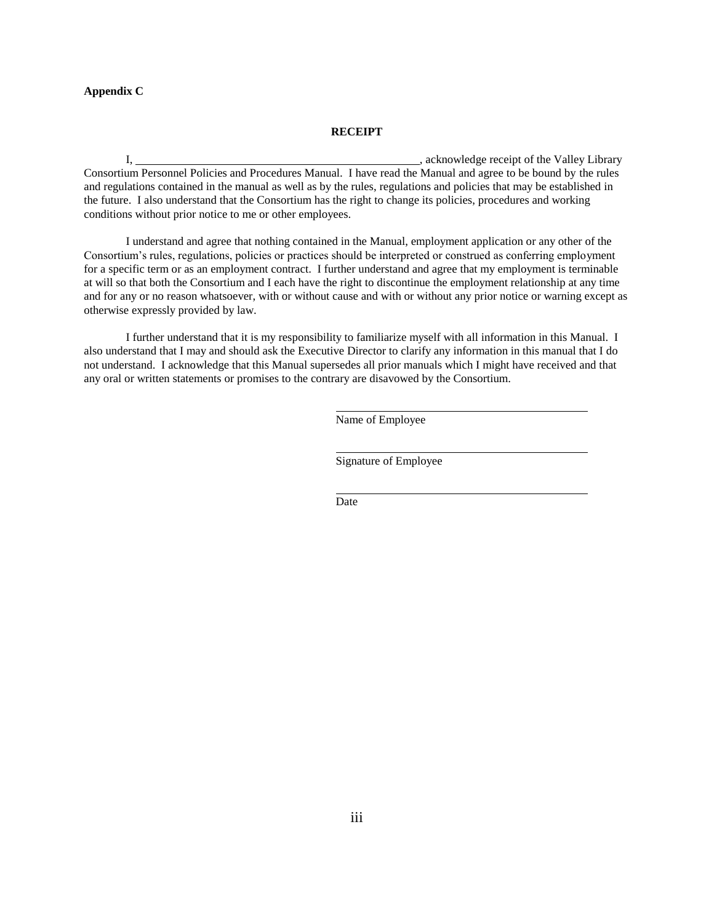## **Appendix C**

#### **RECEIPT**

I,  $\alpha$  , acknowledge receipt of the Valley Library Consortium Personnel Policies and Procedures Manual. I have read the Manual and agree to be bound by the rules and regulations contained in the manual as well as by the rules, regulations and policies that may be established in the future. I also understand that the Consortium has the right to change its policies, procedures and working conditions without prior notice to me or other employees.

I understand and agree that nothing contained in the Manual, employment application or any other of the Consortium's rules, regulations, policies or practices should be interpreted or construed as conferring employment for a specific term or as an employment contract. I further understand and agree that my employment is terminable at will so that both the Consortium and I each have the right to discontinue the employment relationship at any time and for any or no reason whatsoever, with or without cause and with or without any prior notice or warning except as otherwise expressly provided by law.

I further understand that it is my responsibility to familiarize myself with all information in this Manual. I also understand that I may and should ask the Executive Director to clarify any information in this manual that I do not understand. I acknowledge that this Manual supersedes all prior manuals which I might have received and that any oral or written statements or promises to the contrary are disavowed by the Consortium.

Name of Employee

Signature of Employee

Date